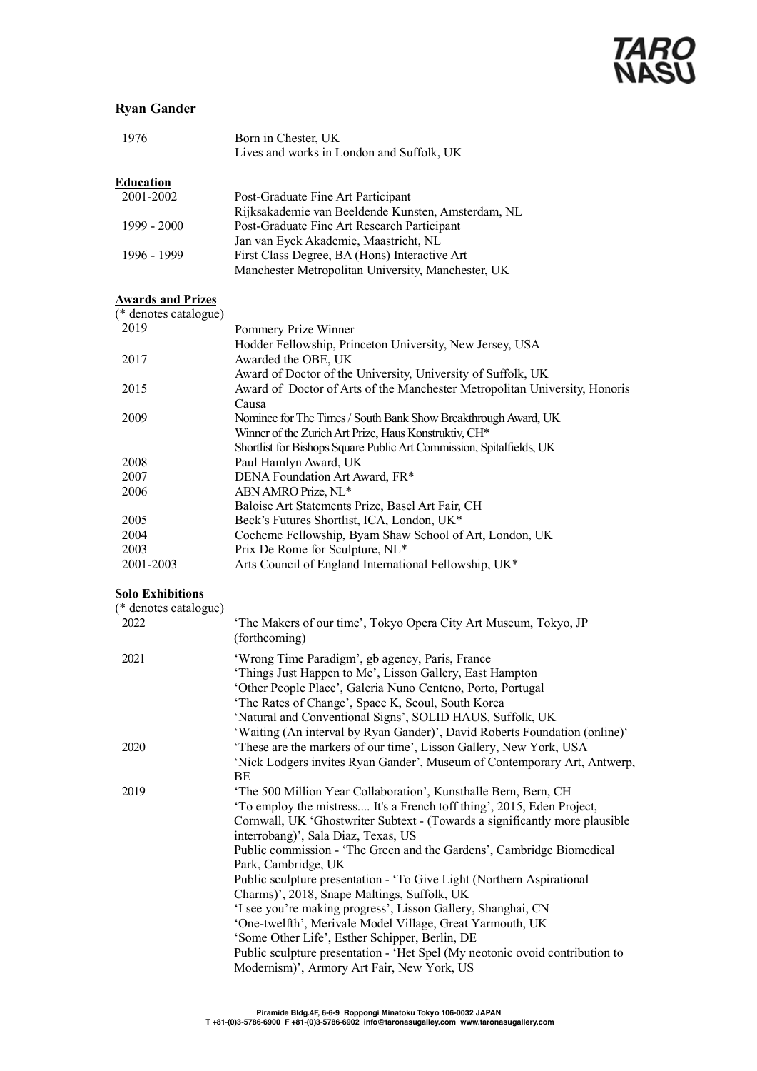### **Ryan Gander**

| 1976          | Born in Chester, UK<br>Lives and works in London and Suffolk, UK |
|---------------|------------------------------------------------------------------|
| Education     |                                                                  |
| 2001-2002     | Post-Graduate Fine Art Participant                               |
|               | Rijksakademie van Beeldende Kunsten, Amsterdam, NL               |
| $1999 - 2000$ | Post-Graduate Fine Art Research Participant                      |
|               | Jan van Eyck Akademie, Maastricht, NL                            |
| 1996 - 1999   | First Class Degree, BA (Hons) Interactive Art                    |
|               | Manchester Metropolitan University, Manchester, UK               |
|               |                                                                  |

#### **Awards and Prizes**

| (* denotes catalogue) |                                                                            |
|-----------------------|----------------------------------------------------------------------------|
| 2019                  | Pommery Prize Winner                                                       |
|                       | Hodder Fellowship, Princeton University, New Jersey, USA                   |
| 2017                  | Awarded the OBE, UK                                                        |
|                       | Award of Doctor of the University, University of Suffolk, UK               |
| 2015                  | Award of Doctor of Arts of the Manchester Metropolitan University, Honoris |
|                       | Causa                                                                      |
| 2009                  | Nominee for The Times / South Bank Show Breakthrough Award, UK             |
|                       | Winner of the Zurich Art Prize, Haus Konstruktiv, CH <sup>*</sup>          |
|                       | Shortlist for Bishops Square Public Art Commission, Spitalfields, UK       |
| 2008                  | Paul Hamlyn Award, UK                                                      |
| 2007                  | DENA Foundation Art Award, FR*                                             |
| 2006                  | ABN AMRO Prize, NL*                                                        |
|                       | Baloise Art Statements Prize, Basel Art Fair, CH                           |
| 2005                  | Beck's Futures Shortlist, ICA, London, UK*                                 |
| 2004                  | Cocheme Fellowship, Byam Shaw School of Art, London, UK                    |
| 2003                  | Prix De Rome for Sculpture, NL*                                            |
| 2001-2003             | Arts Council of England International Fellowship, UK*                      |

### **Solo Exhibitions**

| (* denotes catalogue) |                                                                                                                                                                                                                                                                                                                                                                                                                                                                                                                                                                                                                                                                                                                                                                                                      |
|-----------------------|------------------------------------------------------------------------------------------------------------------------------------------------------------------------------------------------------------------------------------------------------------------------------------------------------------------------------------------------------------------------------------------------------------------------------------------------------------------------------------------------------------------------------------------------------------------------------------------------------------------------------------------------------------------------------------------------------------------------------------------------------------------------------------------------------|
| 2022                  | 'The Makers of our time', Tokyo Opera City Art Museum, Tokyo, JP<br>(forthcoming)                                                                                                                                                                                                                                                                                                                                                                                                                                                                                                                                                                                                                                                                                                                    |
| 2021                  | 'Wrong Time Paradigm', gb agency, Paris, France<br>'Things Just Happen to Me', Lisson Gallery, East Hampton<br>'Other People Place', Galeria Nuno Centeno, Porto, Portugal<br>'The Rates of Change', Space K, Seoul, South Korea<br>'Natural and Conventional Signs', SOLID HAUS, Suffolk, UK                                                                                                                                                                                                                                                                                                                                                                                                                                                                                                        |
| 2020                  | 'Waiting (An interval by Ryan Gander)', David Roberts Foundation (online)'<br>'These are the markers of our time', Lisson Gallery, New York, USA<br>'Nick Lodgers invites Ryan Gander', Museum of Contemporary Art, Antwerp,<br>BE                                                                                                                                                                                                                                                                                                                                                                                                                                                                                                                                                                   |
| 2019                  | 'The 500 Million Year Collaboration', Kunsthalle Bern, Bern, CH<br>'To employ the mistress It's a French toff thing', 2015, Eden Project,<br>Cornwall, UK 'Ghostwriter Subtext - (Towards a significantly more plausible<br>interrobang)', Sala Diaz, Texas, US<br>Public commission - 'The Green and the Gardens', Cambridge Biomedical<br>Park, Cambridge, UK<br>Public sculpture presentation - 'To Give Light (Northern Aspirational<br>Charms)', 2018, Snape Maltings, Suffolk, UK<br>'I see you're making progress', Lisson Gallery, Shanghai, CN<br>'One-twelfth', Merivale Model Village, Great Yarmouth, UK<br>'Some Other Life', Esther Schipper, Berlin, DE<br>Public sculpture presentation - 'Het Spel (My neotonic ovoid contribution to<br>Modernism)', Armory Art Fair, New York, US |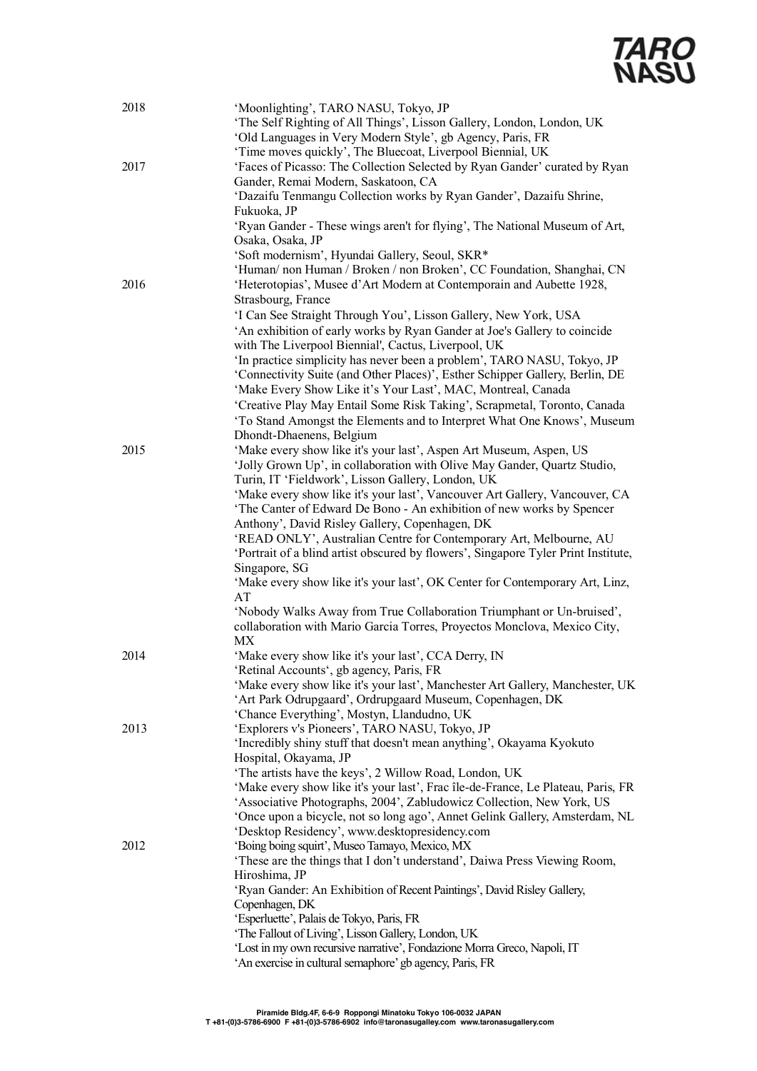

| 2018 | 'Moonlighting', TARO NASU, Tokyo, JP<br>'The Self Righting of All Things', Lisson Gallery, London, London, UK<br>'Old Languages in Very Modern Style', gb Agency, Paris, FR<br>'Time moves quickly', The Bluecoat, Liverpool Biennial, UK |
|------|-------------------------------------------------------------------------------------------------------------------------------------------------------------------------------------------------------------------------------------------|
| 2017 | 'Faces of Picasso: The Collection Selected by Ryan Gander' curated by Ryan                                                                                                                                                                |
|      | Gander, Remai Modern, Saskatoon, CA                                                                                                                                                                                                       |
|      | 'Dazaifu Tenmangu Collection works by Ryan Gander', Dazaifu Shrine,                                                                                                                                                                       |
|      | Fukuoka, JP                                                                                                                                                                                                                               |
|      | 'Ryan Gander - These wings aren't for flying', The National Museum of Art,                                                                                                                                                                |
|      | Osaka, Osaka, JP                                                                                                                                                                                                                          |
|      | 'Soft modernism', Hyundai Gallery, Seoul, SKR*                                                                                                                                                                                            |
|      | 'Human/ non Human / Broken / non Broken', CC Foundation, Shanghai, CN                                                                                                                                                                     |
| 2016 | 'Heterotopias', Musee d'Art Modern at Contemporain and Aubette 1928,                                                                                                                                                                      |
|      | Strasbourg, France                                                                                                                                                                                                                        |
|      | 'I Can See Straight Through You', Lisson Gallery, New York, USA                                                                                                                                                                           |
|      | 'An exhibition of early works by Ryan Gander at Joe's Gallery to coincide                                                                                                                                                                 |
|      | with The Liverpool Biennial', Cactus, Liverpool, UK<br>'In practice simplicity has never been a problem', TARO NASU, Tokyo, JP                                                                                                            |
|      | 'Connectivity Suite (and Other Places)', Esther Schipper Gallery, Berlin, DE                                                                                                                                                              |
|      | 'Make Every Show Like it's Your Last', MAC, Montreal, Canada                                                                                                                                                                              |
|      | 'Creative Play May Entail Some Risk Taking', Scrapmetal, Toronto, Canada                                                                                                                                                                  |
|      | 'To Stand Amongst the Elements and to Interpret What One Knows', Museum                                                                                                                                                                   |
|      | Dhondt-Dhaenens, Belgium                                                                                                                                                                                                                  |
| 2015 | 'Make every show like it's your last', Aspen Art Museum, Aspen, US                                                                                                                                                                        |
|      | 'Jolly Grown Up', in collaboration with Olive May Gander, Quartz Studio,                                                                                                                                                                  |
|      | Turin, IT 'Fieldwork', Lisson Gallery, London, UK                                                                                                                                                                                         |
|      | 'Make every show like it's your last', Vancouver Art Gallery, Vancouver, CA                                                                                                                                                               |
|      | 'The Canter of Edward De Bono - An exhibition of new works by Spencer                                                                                                                                                                     |
|      | Anthony', David Risley Gallery, Copenhagen, DK                                                                                                                                                                                            |
|      | 'READ ONLY', Australian Centre for Contemporary Art, Melbourne, AU                                                                                                                                                                        |
|      | 'Portrait of a blind artist obscured by flowers', Singapore Tyler Print Institute,                                                                                                                                                        |
|      | Singapore, SG<br>'Make every show like it's your last', OK Center for Contemporary Art, Linz,                                                                                                                                             |
|      | AT                                                                                                                                                                                                                                        |
|      | 'Nobody Walks Away from True Collaboration Triumphant or Un-bruised',                                                                                                                                                                     |
|      | collaboration with Mario Garcia Torres, Proyectos Monclova, Mexico City,                                                                                                                                                                  |
|      | МX                                                                                                                                                                                                                                        |
| 2014 | 'Make every show like it's your last', CCA Derry, IN                                                                                                                                                                                      |
|      | 'Retinal Accounts', gb agency, Paris, FR                                                                                                                                                                                                  |
|      | 'Make every show like it's your last', Manchester Art Gallery, Manchester, UK                                                                                                                                                             |
|      | 'Art Park Odrupgaard', Ordrupgaard Museum, Copenhagen, DK                                                                                                                                                                                 |
| 2013 | 'Chance Everything', Mostyn, Llandudno, UK<br>'Explorers v's Pioneers', TARO NASU, Tokyo, JP                                                                                                                                              |
|      | 'Incredibly shiny stuff that doesn't mean anything', Okayama Kyokuto                                                                                                                                                                      |
|      | Hospital, Okayama, JP                                                                                                                                                                                                                     |
|      | 'The artists have the keys', 2 Willow Road, London, UK                                                                                                                                                                                    |
|      | 'Make every show like it's your last', Frac île-de-France, Le Plateau, Paris, FR                                                                                                                                                          |
|      | 'Associative Photographs, 2004', Zabludowicz Collection, New York, US                                                                                                                                                                     |
|      | 'Once upon a bicycle, not so long ago', Annet Gelink Gallery, Amsterdam, NL                                                                                                                                                               |
|      | 'Desktop Residency', www.desktopresidency.com                                                                                                                                                                                             |
| 2012 | 'Boing boing squirt', Museo Tamayo, Mexico, MX                                                                                                                                                                                            |
|      | 'These are the things that I don't understand', Daiwa Press Viewing Room,                                                                                                                                                                 |
|      | Hiroshima, JP<br>'Ryan Gander: An Exhibition of Recent Paintings', David Risley Gallery,                                                                                                                                                  |
|      | Copenhagen, DK                                                                                                                                                                                                                            |
|      | 'Esperluette', Palais de Tokyo, Paris, FR                                                                                                                                                                                                 |
|      | 'The Fallout of Living', Lisson Gallery, London, UK                                                                                                                                                                                       |
|      | 'Lost in my own recursive narrative', Fondazione Morra Greco, Napoli, IT                                                                                                                                                                  |
|      | 'An exercise in cultural semaphore' gb agency, Paris, FR                                                                                                                                                                                  |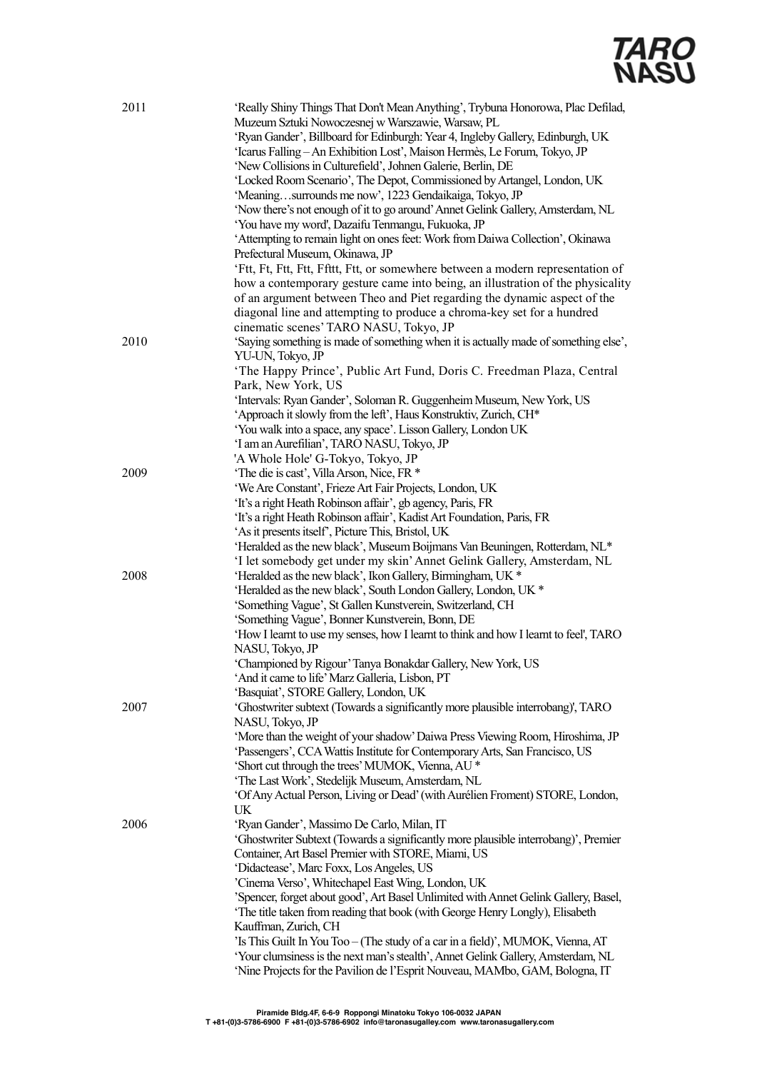| 2011 | 'Really Shiny Things That Don't Mean Anything', Trybuna Honorowa, Plac Defilad,<br>Muzeum Sztuki Nowoczesnej w Warszawie, Warsaw, PL<br>'Ryan Gander', Billboard for Edinburgh: Year 4, Ingleby Gallery, Edinburgh, UK<br>'Icarus Falling - An Exhibition Lost', Maison Hermès, Le Forum, Tokyo, JP<br>'New Collisions in Culturefield', Johnen Galerie, Berlin, DE<br>'Locked Room Scenario', The Depot, Commissioned by Artangel, London, UK<br>'Meaningsurrounds me now', 1223 Gendaikaiga, Tokyo, JP<br>'Now there's not enough of it to go around' Annet Gelink Gallery, Amsterdam, NL<br>'You have my word', Dazaifu Tenmangu, Fukuoka, JP<br>'Attempting to remain light on ones feet: Work from Daiwa Collection', Okinawa<br>Prefectural Museum, Okinawa, JP<br>'Ftt, Ft, Ftt, Ftt, Ffttt, Ftt, or somewhere between a modern representation of<br>how a contemporary gesture came into being, an illustration of the physicality<br>of an argument between Theo and Piet regarding the dynamic aspect of the<br>diagonal line and attempting to produce a chroma-key set for a hundred |
|------|--------------------------------------------------------------------------------------------------------------------------------------------------------------------------------------------------------------------------------------------------------------------------------------------------------------------------------------------------------------------------------------------------------------------------------------------------------------------------------------------------------------------------------------------------------------------------------------------------------------------------------------------------------------------------------------------------------------------------------------------------------------------------------------------------------------------------------------------------------------------------------------------------------------------------------------------------------------------------------------------------------------------------------------------------------------------------------------------------|
| 2010 | cinematic scenes' TARO NASU, Tokyo, JP<br>'Saying something is made of something when it is actually made of something else',<br>YU-UN, Tokyo, JP<br>'The Happy Prince', Public Art Fund, Doris C. Freedman Plaza, Central<br>Park, New York, US<br>'Intervals: Ryan Gander', Soloman R. Guggenheim Museum, New York, US                                                                                                                                                                                                                                                                                                                                                                                                                                                                                                                                                                                                                                                                                                                                                                         |
|      | 'Approach it slowly from the left', Haus Konstruktiv, Zurich, CH*<br>'You walk into a space, any space'. Lisson Gallery, London UK<br>'I am an Aurefilian', TARO NASU, Tokyo, JP<br>'A Whole Hole' G-Tokyo, Tokyo, JP                                                                                                                                                                                                                                                                                                                                                                                                                                                                                                                                                                                                                                                                                                                                                                                                                                                                            |
| 2009 | 'The die is cast', Villa Arson, Nice, FR *<br>'We Are Constant', Frieze Art Fair Projects, London, UK<br>'It's a right Heath Robinson affair', gb agency, Paris, FR<br>'It's a right Heath Robinson affair', Kadist Art Foundation, Paris, FR<br>'As it presents itself', Picture This, Bristol, UK                                                                                                                                                                                                                                                                                                                                                                                                                                                                                                                                                                                                                                                                                                                                                                                              |
| 2008 | 'Heralded as the new black', Museum Boijmans Van Beuningen, Rotterdam, NL*<br>'I let somebody get under my skin' Annet Gelink Gallery, Amsterdam, NL<br>'Heralded as the new black', Ikon Gallery, Birmingham, UK *<br>'Heralded as the new black', South London Gallery, London, UK *<br>'Something Vague', St Gallen Kunstverein, Switzerland, CH<br>'Something Vague', Bonner Kunstverein, Bonn, DE<br>'How I learnt to use my senses, how I learnt to think and how I learnt to feel', TARO                                                                                                                                                                                                                                                                                                                                                                                                                                                                                                                                                                                                  |
|      | NASU, Tokyo, JP<br>'Championed by Rigour' Tanya Bonakdar Gallery, New York, US<br>'And it came to life' Marz Galleria, Lisbon, PT<br>'Basquiat', STORE Gallery, London, UK                                                                                                                                                                                                                                                                                                                                                                                                                                                                                                                                                                                                                                                                                                                                                                                                                                                                                                                       |
| 2007 | 'Ghostwriter subtext (Towards a significantly more plausible interrobang)', TARO<br>NASU, Tokyo, JP<br>'More than the weight of your shadow' Daiwa Press Viewing Room, Hiroshima, JP<br>'Passengers', CCA Wattis Institute for Contemporary Arts, San Francisco, US<br>'Short cut through the trees' MUMOK, Vienna, AU *<br>'The Last Work', Stedelijk Museum, Amsterdam, NL<br>'Of Any Actual Person, Living or Dead' (with Aurélien Froment) STORE, London,<br>UK                                                                                                                                                                                                                                                                                                                                                                                                                                                                                                                                                                                                                              |
| 2006 | 'Ryan Gander', Massimo De Carlo, Milan, IT<br>'Ghostwriter Subtext (Towards a significantly more plausible interrobang)', Premier<br>Container, Art Basel Premier with STORE, Miami, US<br>'Didactease', Marc Foxx, Los Angeles, US<br>'Cinema Verso', Whitechapel East Wing, London, UK<br>'Spencer, forget about good', Art Basel Unlimited with Annet Gelink Gallery, Basel,<br>'The title taken from reading that book (with George Henry Longly), Elisabeth<br>Kauffman, Zurich, CH<br>'Is This Guilt In You Too - (The study of a car in a field)', MUMOK, Vienna, AT<br>'Your clumsiness is the next man's stealth', Annet Gelink Gallery, Amsterdam, NL<br>'Nine Projects for the Pavilion de l'Esprit Nouveau, MAMbo, GAM, Bologna, IT                                                                                                                                                                                                                                                                                                                                                  |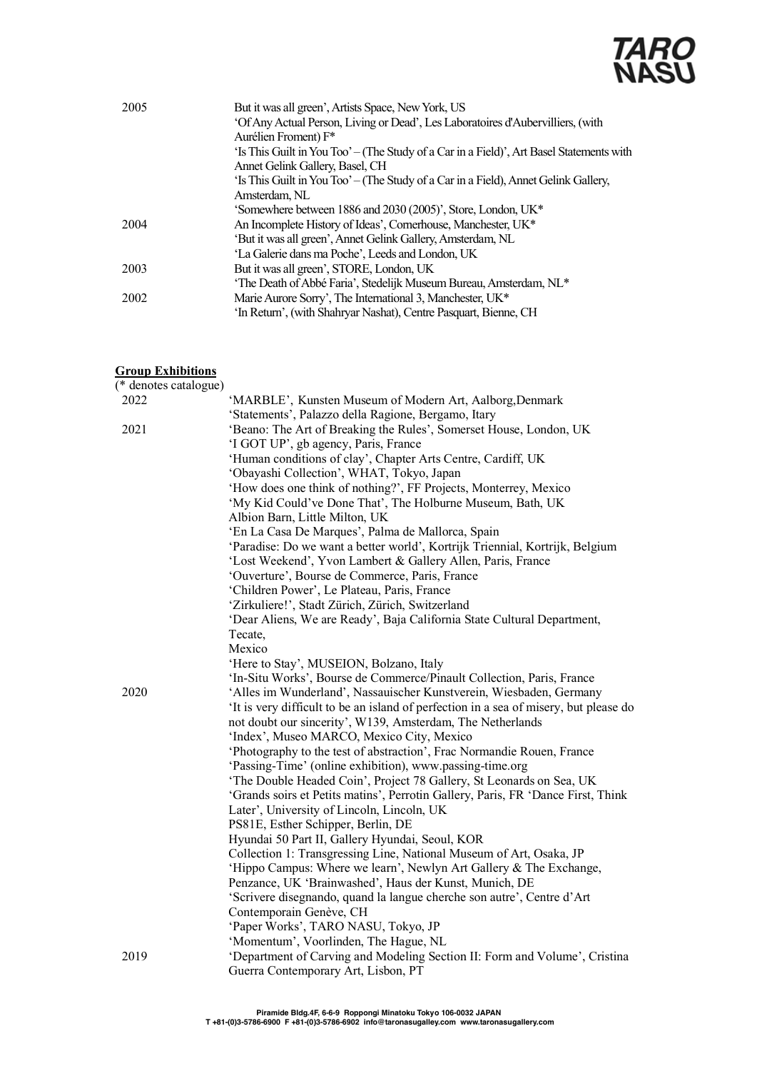

| 2005 | But it was all green', Artists Space, New York, US                                       |
|------|------------------------------------------------------------------------------------------|
|      | 'Of Any Actual Person, Living or Dead', Les Laboratoires d'Aubervilliers, (with          |
|      | Aurélien Froment) F*                                                                     |
|      | 'Is This Guilt in You Too' – (The Study of a Car in a Field)', Art Basel Statements with |
|      | Annet Gelink Gallery, Basel, CH                                                          |
|      | 'Is This Guilt in You Too' – (The Study of a Car in a Field), Annet Gelink Gallery,      |
|      | Amsterdam, NL                                                                            |
|      | 'Somewhere between 1886 and 2030 (2005)', Store, London, UK*                             |
| 2004 | An Incomplete History of Ideas', Cornerhouse, Manchester, UK*                            |
|      | 'But it was all green', Annet Gelink Gallery, Amsterdam, NL                              |
|      | 'La Galerie dans ma Poche', Leeds and London, UK                                         |
| 2003 | But it was all green', STORE, London, UK                                                 |
|      | 'The Death of Abbé Faria', Stedelijk Museum Bureau, Amsterdam, NL*                       |
| 2002 | Marie Aurore Sorry', The International 3, Manchester, UK*                                |
|      | 'In Return', (with Shahryar Nashat), Centre Pasquart, Bienne, CH                         |

## **Group Exhibitions**

| (* denotes catalogue) |                                                                                      |
|-----------------------|--------------------------------------------------------------------------------------|
| 2022                  | 'MARBLE', Kunsten Museum of Modern Art, Aalborg, Denmark                             |
|                       | 'Statements', Palazzo della Ragione, Bergamo, Itary                                  |
| 2021                  | 'Beano: The Art of Breaking the Rules', Somerset House, London, UK                   |
|                       | 'I GOT UP', gb agency, Paris, France                                                 |
|                       | 'Human conditions of clay', Chapter Arts Centre, Cardiff, UK                         |
|                       | 'Obayashi Collection', WHAT, Tokyo, Japan                                            |
|                       | 'How does one think of nothing?', FF Projects, Monterrey, Mexico                     |
|                       | 'My Kid Could've Done That', The Holburne Museum, Bath, UK                           |
|                       | Albion Barn, Little Milton, UK                                                       |
|                       | 'En La Casa De Marques', Palma de Mallorca, Spain                                    |
|                       | 'Paradise: Do we want a better world', Kortrijk Triennial, Kortrijk, Belgium         |
|                       | 'Lost Weekend', Yvon Lambert & Gallery Allen, Paris, France                          |
|                       | 'Ouverture', Bourse de Commerce, Paris, France                                       |
|                       | 'Children Power', Le Plateau, Paris, France                                          |
|                       | 'Zirkuliere!', Stadt Zürich, Zürich, Switzerland                                     |
|                       | 'Dear Aliens, We are Ready', Baja California State Cultural Department,              |
|                       | Tecate,                                                                              |
|                       | Mexico                                                                               |
|                       | 'Here to Stay', MUSEION, Bolzano, Italy                                              |
|                       | 'In-Situ Works', Bourse de Commerce/Pinault Collection, Paris, France                |
| 2020                  | 'Alles im Wunderland', Nassauischer Kunstverein, Wiesbaden, Germany                  |
|                       | It is very difficult to be an island of perfection in a sea of misery, but please do |
|                       | not doubt our sincerity', W139, Amsterdam, The Netherlands                           |
|                       | 'Index', Museo MARCO, Mexico City, Mexico                                            |
|                       | 'Photography to the test of abstraction', Frac Normandie Rouen, France               |
|                       | 'Passing-Time' (online exhibition), www.passing-time.org                             |
|                       | 'The Double Headed Coin', Project 78 Gallery, St Leonards on Sea, UK                 |
|                       | 'Grands soirs et Petits matins', Perrotin Gallery, Paris, FR 'Dance First, Think     |
|                       | Later', University of Lincoln, Lincoln, UK                                           |
|                       | PS81E, Esther Schipper, Berlin, DE                                                   |
|                       | Hyundai 50 Part II, Gallery Hyundai, Seoul, KOR                                      |
|                       | Collection 1: Transgressing Line, National Museum of Art, Osaka, JP                  |
|                       | 'Hippo Campus: Where we learn', Newlyn Art Gallery & The Exchange,                   |
|                       | Penzance, UK 'Brainwashed', Haus der Kunst, Munich, DE                               |
|                       | 'Scrivere disegnando, quand la langue cherche son autre', Centre d'Art               |
|                       | Contemporain Genève, CH                                                              |
|                       | 'Paper Works', TARO NASU, Tokyo, JP                                                  |
|                       | 'Momentum', Voorlinden, The Hague, NL                                                |
| 2019                  | 'Department of Carving and Modeling Section II: Form and Volume', Cristina           |
|                       | Guerra Contemporary Art, Lisbon, PT                                                  |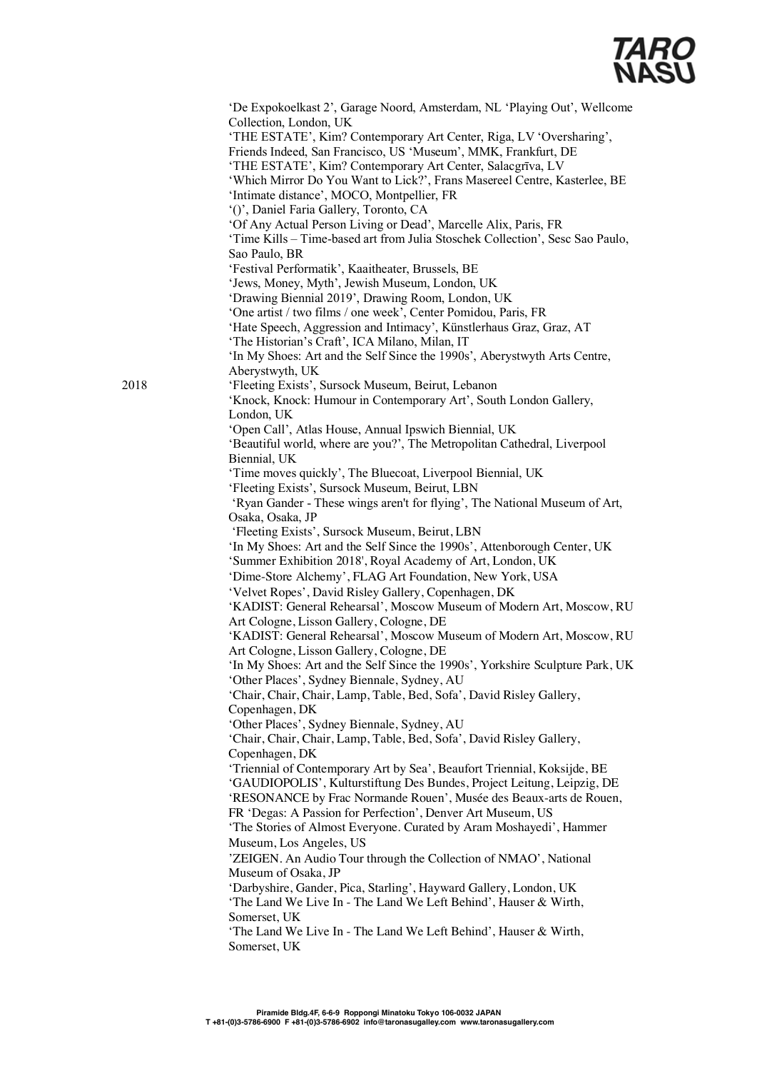

'De Expokoelkast 2', Garage Noord, Amsterdam, NL 'Playing Out', Wellcome Collection, London, UK 'THE ESTATE', Kim? Contemporary Art Center, Riga, LV 'Oversharing', Friends Indeed, San Francisco, US 'Museum', MMK, Frankfurt, DE 'THE ESTATE', Kim? Contemporary Art Center, Salacgrīva, LV 'Which Mirror Do You Want to Lick?', Frans Masereel Centre, Kasterlee, BE 'Intimate distance', MOCO, Montpellier, FR '()', Daniel Faria Gallery, Toronto, CA 'Of Any Actual Person Living or Dead', Marcelle Alix, Paris, FR 'Time Kills – Time-based art from Julia Stoschek Collection', Sesc Sao Paulo, Sao Paulo, BR 'Festival Performatik', Kaaitheater, Brussels, BE 'Jews, Money, Myth', Jewish Museum, London, UK 'Drawing Biennial 2019', Drawing Room, London, UK 'One artist / two films / one week', Center Pomidou, Paris, FR 'Hate Speech, Aggression and Intimacy', Künstlerhaus Graz, Graz, AT 'The Historian's Craft', ICA Milano, Milan, IT 'In My Shoes: Art and the Self Since the 1990s', Aberystwyth Arts Centre, Aberystwyth, UK 2018 'Fleeting Exists', Sursock Museum, Beirut, Lebanon 'Knock, Knock: Humour in Contemporary Art', South London Gallery, London, UK 'Open Call', Atlas House, Annual Ipswich Biennial, UK 'Beautiful world, where are you?', The Metropolitan Cathedral, Liverpool Biennial, UK 'Time moves quickly', The Bluecoat, Liverpool Biennial, UK 'Fleeting Exists', Sursock Museum, Beirut, LBN 'Ryan Gander - These wings aren't for flying', The National Museum of Art, Osaka, Osaka, JP 'Fleeting Exists', Sursock Museum, Beirut, LBN 'In My Shoes: Art and the Self Since the 1990s', Attenborough Center, UK 'Summer Exhibition 2018', Royal Academy of Art, London, UK 'Dime-Store Alchemy', FLAG Art Foundation, New York, USA 'Velvet Ropes', David Risley Gallery, Copenhagen, DK 'KADIST: General Rehearsal', Moscow Museum of Modern Art, Moscow, RU Art Cologne, Lisson Gallery, Cologne, DE 'KADIST: General Rehearsal', Moscow Museum of Modern Art, Moscow, RU Art Cologne, Lisson Gallery, Cologne, DE 'In My Shoes: Art and the Self Since the 1990s', Yorkshire Sculpture Park, UK 'Other Places', Sydney Biennale, Sydney, AU 'Chair, Chair, Chair, Lamp, Table, Bed, Sofa', David Risley Gallery, Copenhagen, DK 'Other Places', Sydney Biennale, Sydney, AU 'Chair, Chair, Chair, Lamp, Table, Bed, Sofa', David Risley Gallery, Copenhagen, DK 'Triennial of Contemporary Art by Sea', Beaufort Triennial, Koksijde, BE 'GAUDIOPOLIS', Kulturstiftung Des Bundes, Project Leitung, Leipzig, DE 'RESONANCE by Frac Normande Rouen', Musée des Beaux-arts de Rouen, FR 'Degas: A Passion for Perfection', Denver Art Museum, US 'The Stories of Almost Everyone. Curated by Aram Moshayedi', Hammer Museum, Los Angeles, US 'ZEIGEN. An Audio Tour through the Collection of NMAO', National Museum of Osaka, JP 'Darbyshire, Gander, Pica, Starling', Hayward Gallery, London, UK 'The Land We Live In - The Land We Left Behind', Hauser & Wirth, Somerset, UK 'The Land We Live In - The Land We Left Behind', Hauser & Wirth, Somerset, UK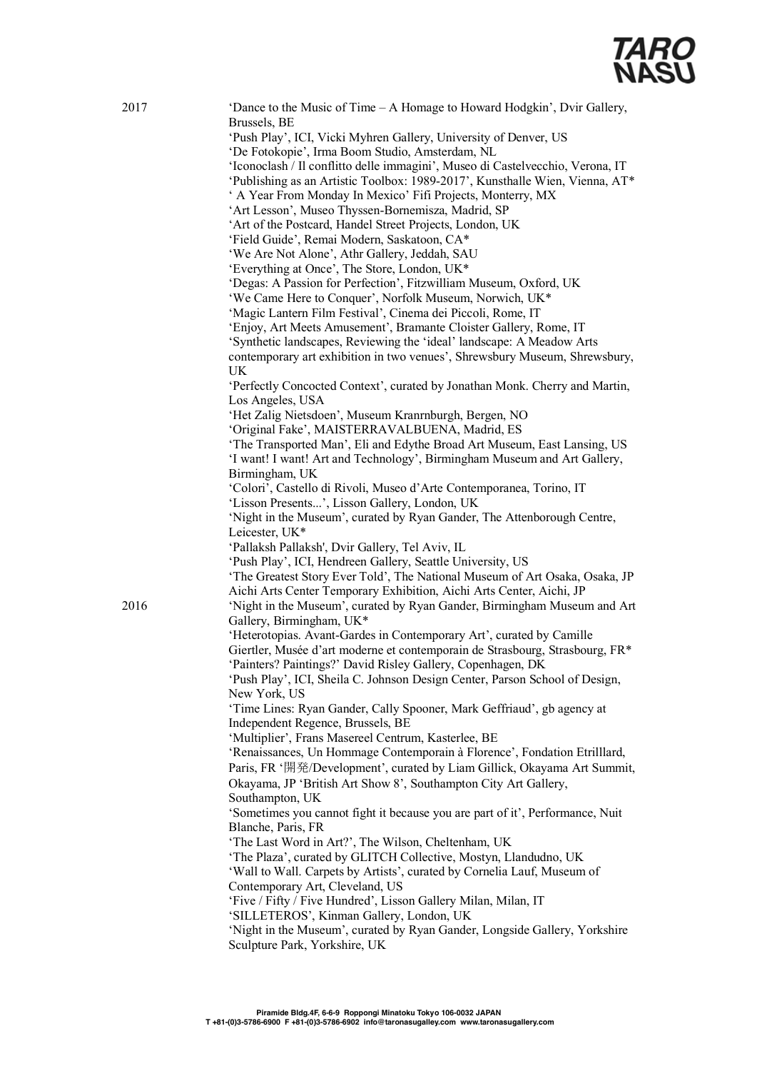

| 2017 | 'Dance to the Music of Time – A Homage to Howard Hodgkin', Dvir Gallery,<br>Brussels, BE                                                                       |
|------|----------------------------------------------------------------------------------------------------------------------------------------------------------------|
|      | 'Push Play', ICI, Vicki Myhren Gallery, University of Denver, US                                                                                               |
|      | 'De Fotokopie', Irma Boom Studio, Amsterdam, NL                                                                                                                |
|      | 'Iconoclash / Il conflitto delle immagini', Museo di Castelvecchio, Verona, IT<br>'Publishing as an Artistic Toolbox: 1989-2017', Kunsthalle Wien, Vienna, AT* |
|      | ' A Year From Monday In Mexico' Fifi Projects, Monterry, MX                                                                                                    |
|      | 'Art Lesson', Museo Thyssen-Bornemisza, Madrid, SP                                                                                                             |
|      | 'Art of the Postcard, Handel Street Projects, London, UK                                                                                                       |
|      | 'Field Guide', Remai Modern, Saskatoon, CA*                                                                                                                    |
|      | 'We Are Not Alone', Athr Gallery, Jeddah, SAU                                                                                                                  |
|      | 'Everything at Once', The Store, London, UK*                                                                                                                   |
|      | 'Degas: A Passion for Perfection', Fitzwilliam Museum, Oxford, UK                                                                                              |
|      | 'We Came Here to Conquer', Norfolk Museum, Norwich, UK*                                                                                                        |
|      | 'Magic Lantern Film Festival', Cinema dei Piccoli, Rome, IT                                                                                                    |
|      | 'Enjoy, Art Meets Amusement', Bramante Cloister Gallery, Rome, IT                                                                                              |
|      | 'Synthetic landscapes, Reviewing the 'ideal' landscape: A Meadow Arts                                                                                          |
|      | contemporary art exhibition in two venues', Shrewsbury Museum, Shrewsbury,                                                                                     |
|      | UK                                                                                                                                                             |
|      | 'Perfectly Concocted Context', curated by Jonathan Monk. Cherry and Martin,<br>Los Angeles, USA                                                                |
|      | 'Het Zalig Nietsdoen', Museum Kranrnburgh, Bergen, NO                                                                                                          |
|      | 'Original Fake', MAISTERRAVALBUENA, Madrid, ES                                                                                                                 |
|      | 'The Transported Man', Eli and Edythe Broad Art Museum, East Lansing, US                                                                                       |
|      | 'I want! I want! Art and Technology', Birmingham Museum and Art Gallery,                                                                                       |
|      | Birmingham, UK                                                                                                                                                 |
|      | 'Colori', Castello di Rivoli, Museo d'Arte Contemporanea, Torino, IT                                                                                           |
|      | 'Lisson Presents', Lisson Gallery, London, UK                                                                                                                  |
|      | 'Night in the Museum', curated by Ryan Gander, The Attenborough Centre,<br>Leicester, UK*                                                                      |
|      | 'Pallaksh Pallaksh', Dvir Gallery, Tel Aviv, IL                                                                                                                |
|      | 'Push Play', ICI, Hendreen Gallery, Seattle University, US                                                                                                     |
|      | 'The Greatest Story Ever Told', The National Museum of Art Osaka, Osaka, JP<br>Aichi Arts Center Temporary Exhibition, Aichi Arts Center, Aichi, JP            |
| 2016 | 'Night in the Museum', curated by Ryan Gander, Birmingham Museum and Art<br>Gallery, Birmingham, UK*                                                           |
|      | 'Heterotopias. Avant-Gardes in Contemporary Art', curated by Camille                                                                                           |
|      | Giertler, Musée d'art moderne et contemporain de Strasbourg, Strasbourg, FR*                                                                                   |
|      | 'Painters? Paintings?' David Risley Gallery, Copenhagen, DK                                                                                                    |
|      | 'Push Play', ICI, Sheila C. Johnson Design Center, Parson School of Design,<br>New York, US                                                                    |
|      | 'Time Lines: Ryan Gander, Cally Spooner, Mark Geffriaud', gb agency at                                                                                         |
|      | Independent Regence, Brussels, BE                                                                                                                              |
|      | 'Multiplier', Frans Masereel Centrum, Kasterlee, BE                                                                                                            |
|      | 'Renaissances, Un Hommage Contemporain à Florence', Fondation Etrilllard,                                                                                      |
|      | Paris, FR '開発/Development', curated by Liam Gillick, Okayama Art Summit,                                                                                       |
|      | Okayama, JP 'British Art Show 8', Southampton City Art Gallery,                                                                                                |
|      | Southampton, UK                                                                                                                                                |
|      | 'Sometimes you cannot fight it because you are part of it', Performance, Nuit<br>Blanche, Paris, FR                                                            |
|      | 'The Last Word in Art?', The Wilson, Cheltenham, UK                                                                                                            |
|      | 'The Plaza', curated by GLITCH Collective, Mostyn, Llandudno, UK                                                                                               |
|      | 'Wall to Wall. Carpets by Artists', curated by Cornelia Lauf, Museum of                                                                                        |
|      | Contemporary Art, Cleveland, US                                                                                                                                |
|      | 'Five / Fifty / Five Hundred', Lisson Gallery Milan, Milan, IT                                                                                                 |
|      | 'SILLETEROS', Kinman Gallery, London, UK                                                                                                                       |
|      | 'Night in the Museum', curated by Ryan Gander, Longside Gallery, Yorkshire                                                                                     |
|      | Sculpture Park, Yorkshire, UK                                                                                                                                  |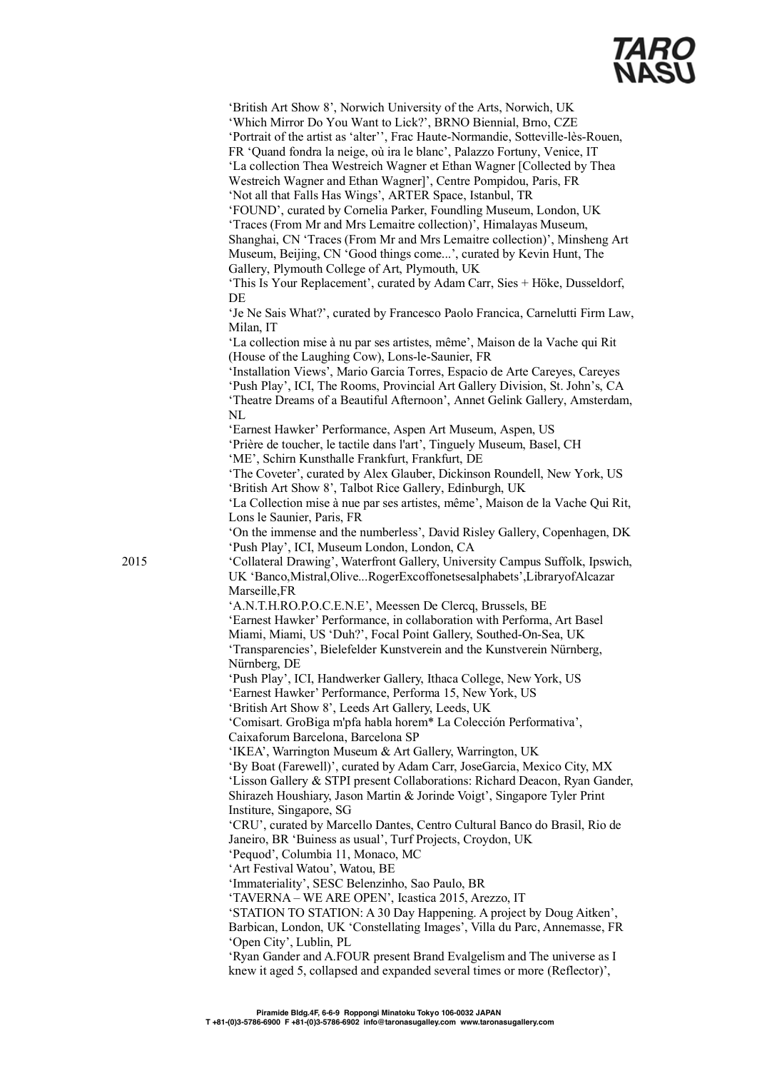'British Art Show 8', Norwich University of the Arts, Norwich, UK 'Which Mirror Do You Want to Lick?', BRNO Biennial, Brno, CZE 'Portrait of the artist as 'alter'', Frac Haute-Normandie, Sotteville-lès-Rouen, FR 'Quand fondra la neige, où ira le blanc', Palazzo Fortuny, Venice, IT 'La collection Thea Westreich Wagner et Ethan Wagner [Collected by Thea Westreich Wagner and Ethan Wagner]', Centre Pompidou, Paris, FR 'Not all that Falls Has Wings', ARTER Space, Istanbul, TR 'FOUND', curated by Cornelia Parker, Foundling Museum, London, UK 'Traces (From Mr and Mrs Lemaitre collection)', Himalayas Museum, Shanghai, CN 'Traces (From Mr and Mrs Lemaitre collection)', Minsheng Art Museum, Beijing, CN 'Good things come...', curated by Kevin Hunt, The Gallery, Plymouth College of Art, Plymouth, UK 'This Is Your Replacement', curated by Adam Carr, Sies + Höke, Dusseldorf, DE 'Je Ne Sais What?', curated by Francesco Paolo Francica, Carnelutti Firm Law, Milan, IT 'La collection mise à nu par ses artistes, même', Maison de la Vache qui Rit (House of the Laughing Cow), Lons-le-Saunier, FR 'Installation Views', Mario Garcia Torres, Espacio de Arte Careyes, Careyes 'Push Play', ICI, The Rooms, Provincial Art Gallery Division, St. John's, CA 'Theatre Dreams of a Beautiful Afternoon', Annet Gelink Gallery, Amsterdam, NL 'Earnest Hawker' Performance, Aspen Art Museum, Aspen, US 'Prière de toucher, le tactile dans l'art', Tinguely Museum, Basel, CH 'ME', Schirn Kunsthalle Frankfurt, Frankfurt, DE 'The Coveter', curated by Alex Glauber, Dickinson Roundell, New York, US 'British Art Show 8', Talbot Rice Gallery, Edinburgh, UK 'La Collection mise à nue par ses artistes, même', Maison de la Vache Qui Rit, Lons le Saunier, Paris, FR 'On the immense and the numberless', David Risley Gallery, Copenhagen, DK 'Push Play', ICI, Museum London, London, CA 2015 'Collateral Drawing', Waterfront Gallery, University Campus Suffolk, Ipswich, UK 'Banco,Mistral,Olive...RogerExcoffonetsesalphabets',LibraryofAlcazar Marseille,FR 'A.N.T.H.RO.P.O.C.E.N.E', Meessen De Clercq, Brussels, BE 'Earnest Hawker' Performance, in collaboration with Performa, Art Basel Miami, Miami, US 'Duh?', Focal Point Gallery, Southed-On-Sea, UK 'Transparencies', Bielefelder Kunstverein and the Kunstverein Nürnberg, Nürnberg, DE 'Push Play', ICI, Handwerker Gallery, Ithaca College, New York, US 'Earnest Hawker' Performance, Performa 15, New York, US 'British Art Show 8', Leeds Art Gallery, Leeds, UK 'Comisart. GroBiga m'pfa habla horem\* La Colección Performativa', Caixaforum Barcelona, Barcelona SP 'IKEA', Warrington Museum & Art Gallery, Warrington, UK 'By Boat (Farewell)', curated by Adam Carr, JoseGarcia, Mexico City, MX 'Lisson Gallery & STPI present Collaborations: Richard Deacon, Ryan Gander, Shirazeh Houshiary, Jason Martin & Jorinde Voigt', Singapore Tyler Print Institure, Singapore, SG 'CRU', curated by Marcello Dantes, Centro Cultural Banco do Brasil, Rio de Janeiro, BR 'Buiness as usual', Turf Projects, Croydon, UK 'Pequod', Columbia 11, Monaco, MC 'Art Festival Watou', Watou, BE 'Immateriality', SESC Belenzinho, Sao Paulo, BR 'TAVERNA – WE ARE OPEN', Icastica 2015, Arezzo, IT 'STATION TO STATION: A 30 Day Happening. A project by Doug Aitken', Barbican, London, UK 'Constellating Images', Villa du Parc, Annemasse, FR 'Open City', Lublin, PL 'Ryan Gander and A.FOUR present Brand Evalgelism and The universe as I knew it aged 5, collapsed and expanded several times or more (Reflector)',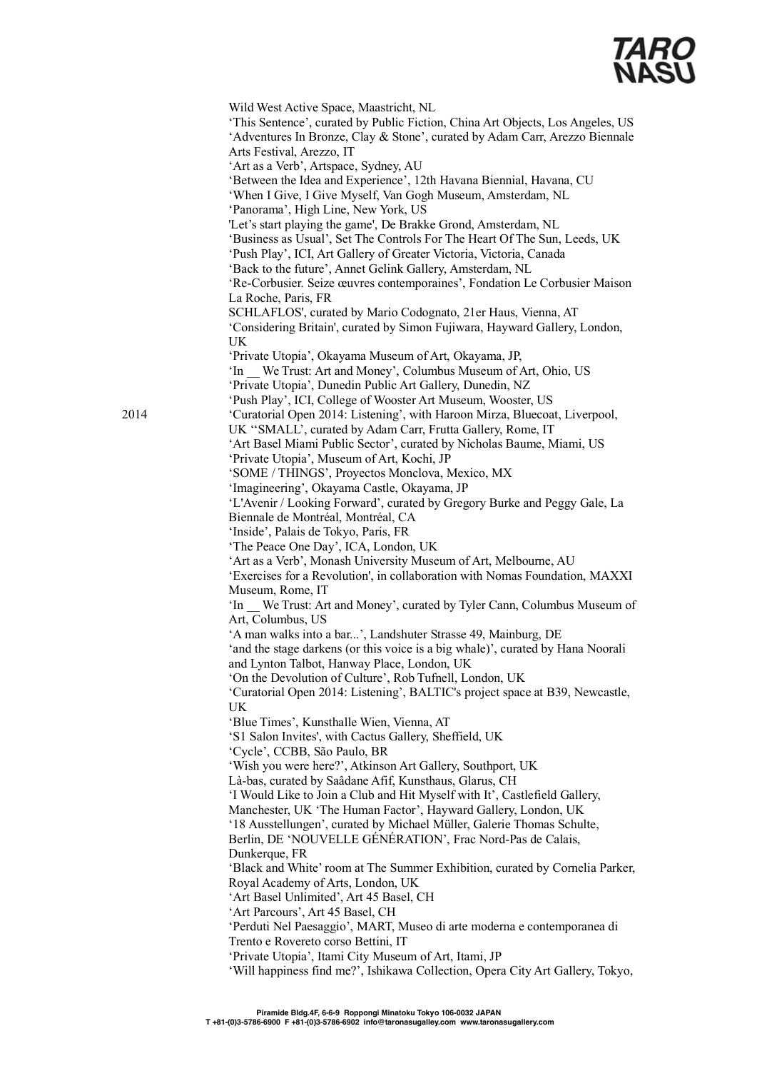Wild West Active Space, Maastricht, NL 'This Sentence', curated by Public Fiction, China Art Objects, Los Angeles, US 'Adventures In Bronze, Clay & Stone', curated by Adam Carr, Arezzo Biennale Arts Festival, Arezzo, IT 'Art as a Verb', Artspace, Sydney, AU 'Between the Idea and Experience', 12th Havana Biennial, Havana, CU 'When I Give, I Give Myself, Van Gogh Museum, Amsterdam, NL 'Panorama', High Line, New York, US 'Let's start playing the game', De Brakke Grond, Amsterdam, NL 'Business as Usual', Set The Controls For The Heart Of The Sun, Leeds, UK 'Push Play', ICI, Art Gallery of Greater Victoria, Victoria, Canada 'Back to the future', Annet Gelink Gallery, Amsterdam, NL 'Re-Corbusier. Seize œuvres contemporaines', Fondation Le Corbusier Maison La Roche, Paris, FR SCHLAFLOS', curated by Mario Codognato, 21er Haus, Vienna, AT 'Considering Britain', curated by Simon Fujiwara, Hayward Gallery, London, UK 'Private Utopia', Okayama Museum of Art, Okayama, JP, 'In \_\_ We Trust: Art and Money', Columbus Museum of Art, Ohio, US 'Private Utopia', Dunedin Public Art Gallery, Dunedin, NZ 'Push Play', ICI, College of Wooster Art Museum, Wooster, US 2014 'Curatorial Open 2014: Listening', with Haroon Mirza, Bluecoat, Liverpool, UK ''SMALL', curated by Adam Carr, Frutta Gallery, Rome, IT 'Art Basel Miami Public Sector', curated by Nicholas Baume, Miami, US 'Private Utopia', Museum of Art, Kochi, JP 'SOME / THINGS', Proyectos Monclova, Mexico, MX 'Imagineering', Okayama Castle, Okayama, JP 'L'Avenir / Looking Forward', curated by Gregory Burke and Peggy Gale, La Biennale de Montréal, Montréal, CA 'Inside', Palais de Tokyo, Paris, FR 'The Peace One Day', ICA, London, UK 'Art as a Verb', Monash University Museum of Art, Melbourne, AU 'Exercises for a Revolution', in collaboration with Nomas Foundation, MAXXI Museum, Rome, IT 'In \_\_ We Trust: Art and Money', curated by Tyler Cann, Columbus Museum of Art, Columbus, US 'A man walks into a bar...', Landshuter Strasse 49, Mainburg, DE 'and the stage darkens (or this voice is a big whale)', curated by Hana Noorali and Lynton Talbot, Hanway Place, London, UK 'On the Devolution of Culture', Rob Tufnell, London, UK 'Curatorial Open 2014: Listening', BALTIC's project space at B39, Newcastle, UK 'Blue Times', Kunsthalle Wien, Vienna, AT 'S1 Salon Invites', with Cactus Gallery, Sheffield, UK 'Cycle', CCBB, São Paulo, BR 'Wish you were here?', Atkinson Art Gallery, Southport, UK Là-bas, curated by Saâdane Afif, Kunsthaus, Glarus, CH 'I Would Like to Join a Club and Hit Myself with It', Castlefield Gallery, Manchester, UK 'The Human Factor', Hayward Gallery, London, UK '18 Ausstellungen', curated by Michael Müller, Galerie Thomas Schulte, Berlin, DE 'NOUVELLE GÉNÉRATION', Frac Nord-Pas de Calais, Dunkerque, FR 'Black and White' room at The Summer Exhibition, curated by Cornelia Parker, Royal Academy of Arts, London, UK 'Art Basel Unlimited', Art 45 Basel, CH 'Art Parcours', Art 45 Basel, CH 'Perduti Nel Paesaggio', MART, Museo di arte moderna e contemporanea di Trento e Rovereto corso Bettini, IT 'Private Utopia', Itami City Museum of Art, Itami, JP 'Will happiness find me?', Ishikawa Collection, Opera City Art Gallery, Tokyo,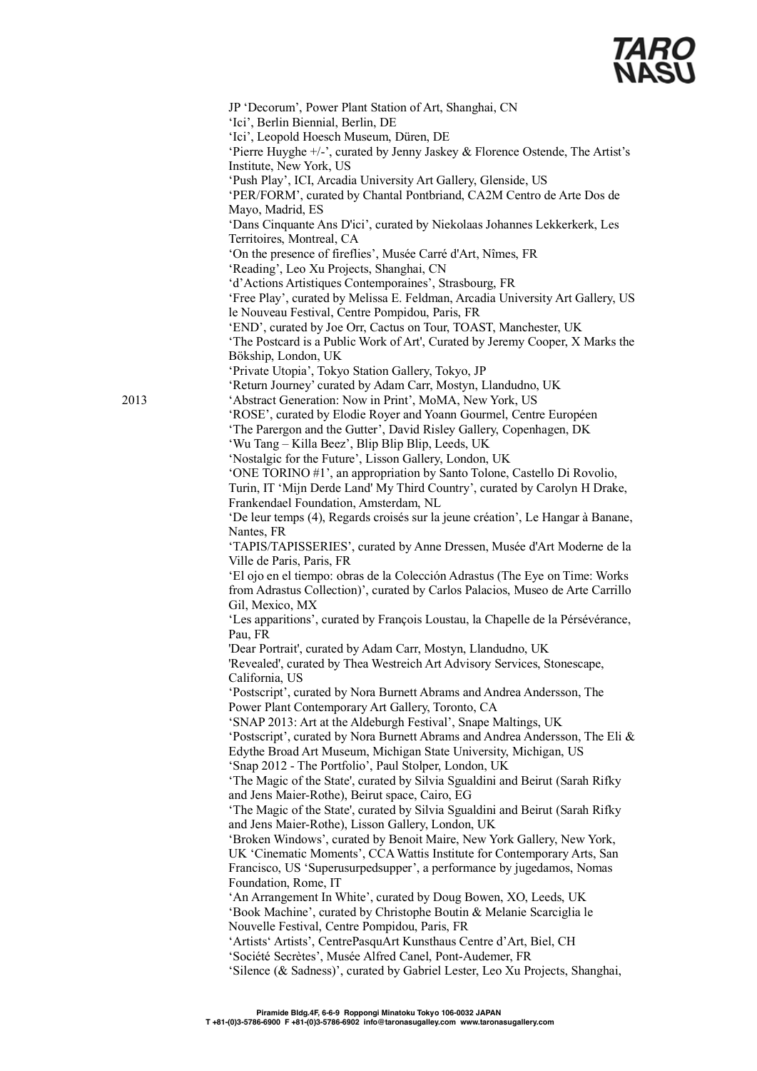

JP 'Decorum', Power Plant Station of Art, Shanghai, CN 'Ici', Berlin Biennial, Berlin, DE 'Ici', Leopold Hoesch Museum, Düren, DE 'Pierre Huyghe +/-', curated by Jenny Jaskey & Florence Ostende, The Artist's Institute, New York, US 'Push Play', ICI, Arcadia University Art Gallery, Glenside, US 'PER/FORM', curated by Chantal Pontbriand, CA2M Centro de Arte Dos de Mayo, Madrid, ES 'Dans Cinquante Ans D'ici', curated by Niekolaas Johannes Lekkerkerk, Les Territoires, Montreal, CA 'On the presence of fireflies', Musée Carré d'Art, Nîmes, FR 'Reading', Leo Xu Projects, Shanghai, CN 'd'Actions Artistiques Contemporaines', Strasbourg, FR 'Free Play', curated by Melissa E. Feldman, Arcadia University Art Gallery, US le Nouveau Festival, Centre Pompidou, Paris, FR 'END', curated by Joe Orr, Cactus on Tour, TOAST, Manchester, UK 'The Postcard is a Public Work of Art', Curated by Jeremy Cooper, X Marks the Bökship, London, UK 'Private Utopia', Tokyo Station Gallery, Tokyo, JP 'Return Journey' curated by Adam Carr, Mostyn, Llandudno, UK 2013 'Abstract Generation: Now in Print', MoMA, New York, US 'ROSE', curated by Elodie Royer and Yoann Gourmel, Centre Européen 'The Parergon and the Gutter', David Risley Gallery, Copenhagen, DK 'Wu Tang – Killa Beez', Blip Blip Blip, Leeds, UK 'Nostalgic for the Future', Lisson Gallery, London, UK 'ONE TORINO #1', an appropriation by Santo Tolone, Castello Di Rovolio, Turin, IT 'Mijn Derde Land' My Third Country', curated by Carolyn H Drake, Frankendael Foundation, Amsterdam, NL 'De leur temps (4), Regards croisés sur la jeune création', Le Hangar à Banane, Nantes, FR 'TAPIS/TAPISSERIES', curated by Anne Dressen, Musée d'Art Moderne de la Ville de Paris, Paris, FR 'El ojo en el tiempo: obras de la Colección Adrastus (The Eye on Time: Works from Adrastus Collection)', curated by Carlos Palacios, Museo de Arte Carrillo Gil, Mexico, MX 'Les apparitions', curated by François Loustau, la Chapelle de la Pérsévérance, Pau, FR 'Dear Portrait', curated by Adam Carr, Mostyn, Llandudno, UK 'Revealed', curated by Thea Westreich Art Advisory Services, Stonescape, California, US 'Postscript', curated by Nora Burnett Abrams and Andrea Andersson, The Power Plant Contemporary Art Gallery, Toronto, CA 'SNAP 2013: Art at the Aldeburgh Festival', Snape Maltings, UK 'Postscript', curated by Nora Burnett Abrams and Andrea Andersson, The Eli & Edythe Broad Art Museum, Michigan State University, Michigan, US 'Snap 2012 - The Portfolio', Paul Stolper, London, UK 'The Magic of the State', curated by Silvia Sgualdini and Beirut (Sarah Rifky and Jens Maier-Rothe), Beirut space, Cairo, EG 'The Magic of the State', curated by Silvia Sgualdini and Beirut (Sarah Rifky and Jens Maier-Rothe), Lisson Gallery, London, UK 'Broken Windows', curated by Benoit Maire, New York Gallery, New York, UK 'Cinematic Moments', CCA Wattis Institute for Contemporary Arts, San Francisco, US 'Superusurpedsupper', a performance by jugedamos, Nomas Foundation, Rome, IT 'An Arrangement In White', curated by Doug Bowen, XO, Leeds, UK 'Book Machine', curated by Christophe Boutin & Melanie Scarciglia le Nouvelle Festival, Centre Pompidou, Paris, FR 'Artists' Artists', CentrePasquArt Kunsthaus Centre d'Art, Biel, CH 'Société Secrètes', Musée Alfred Canel, Pont-Audemer, FR 'Silence (& Sadness)', curated by Gabriel Lester, Leo Xu Projects, Shanghai,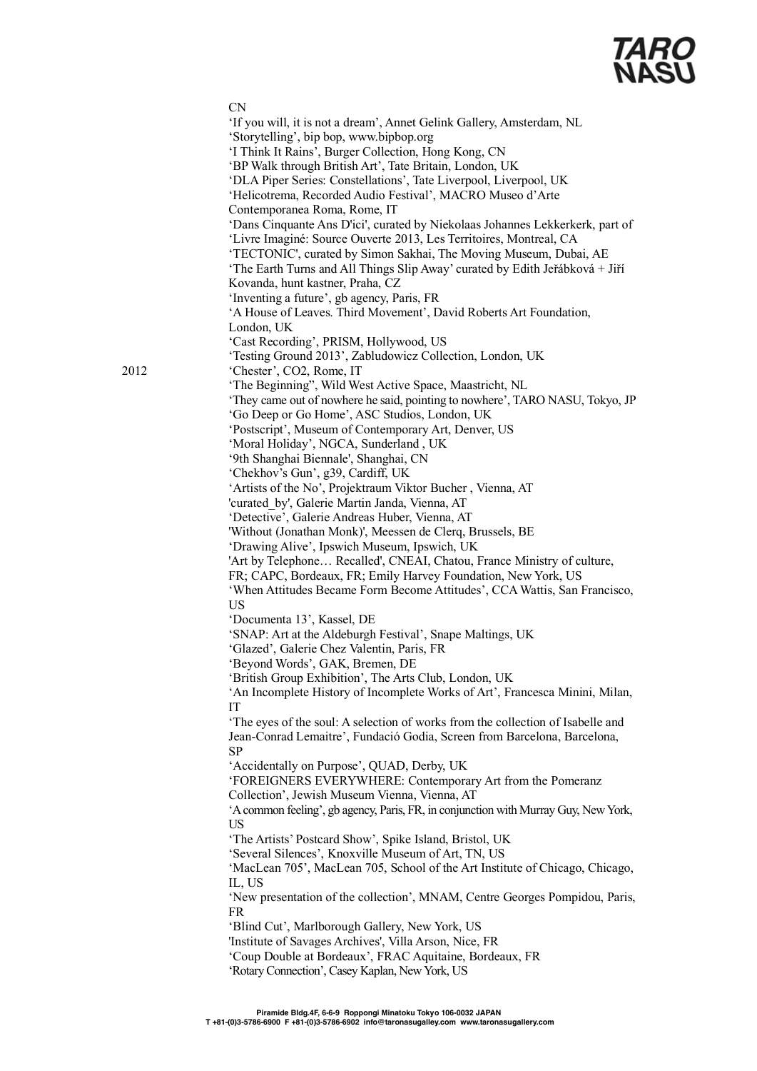

|      | <b>CN</b><br>'If you will, it is not a dream', Annet Gelink Gallery, Amsterdam, NL<br>'Storytelling', bip bop, www.bipbop.org<br>'I Think It Rains', Burger Collection, Hong Kong, CN<br>'BP Walk through British Art', Tate Britain, London, UK<br>'DLA Piper Series: Constellations', Tate Liverpool, Liverpool, UK<br>'Helicotrema, Recorded Audio Festival', MACRO Museo d'Arte<br>Contemporanea Roma, Rome, IT<br>'Dans Cinquante Ans D'ici', curated by Niekolaas Johannes Lekkerkerk, part of<br>'Livre Imaginé: Source Ouverte 2013, Les Territoires, Montreal, CA<br>'TECTONIC', curated by Simon Sakhai, The Moving Museum, Dubai, AE<br>'The Earth Turns and All Things Slip Away' curated by Edith Jeřábková + Jiří<br>Kovanda, hunt kastner, Praha, CZ |
|------|---------------------------------------------------------------------------------------------------------------------------------------------------------------------------------------------------------------------------------------------------------------------------------------------------------------------------------------------------------------------------------------------------------------------------------------------------------------------------------------------------------------------------------------------------------------------------------------------------------------------------------------------------------------------------------------------------------------------------------------------------------------------|
|      | 'Inventing a future', gb agency, Paris, FR<br>'A House of Leaves. Third Movement', David Roberts Art Foundation,<br>London, UK<br>'Cast Recording', PRISM, Hollywood, US                                                                                                                                                                                                                                                                                                                                                                                                                                                                                                                                                                                            |
| 2012 | 'Testing Ground 2013', Zabludowicz Collection, London, UK<br>'Chester', CO2, Rome, IT<br>'The Beginning", Wild West Active Space, Maastricht, NL                                                                                                                                                                                                                                                                                                                                                                                                                                                                                                                                                                                                                    |
|      | 'They came out of nowhere he said, pointing to nowhere', TARO NASU, Tokyo, JP<br>'Go Deep or Go Home', ASC Studios, London, UK<br>'Postscript', Museum of Contemporary Art, Denver, US<br>'Moral Holiday', NGCA, Sunderland, UK                                                                                                                                                                                                                                                                                                                                                                                                                                                                                                                                     |
|      | '9th Shanghai Biennale', Shanghai, CN<br>'Chekhov's Gun', g39, Cardiff, UK<br>'Artists of the No', Projektraum Viktor Bucher, Vienna, AT<br>'curated by', Galerie Martin Janda, Vienna, AT                                                                                                                                                                                                                                                                                                                                                                                                                                                                                                                                                                          |
|      | 'Detective', Galerie Andreas Huber, Vienna, AT<br>'Without (Jonathan Monk)', Meessen de Clerq, Brussels, BE<br>'Drawing Alive', Ipswich Museum, Ipswich, UK                                                                                                                                                                                                                                                                                                                                                                                                                                                                                                                                                                                                         |
|      | 'Art by Telephone Recalled', CNEAI, Chatou, France Ministry of culture,<br>FR; CAPC, Bordeaux, FR; Emily Harvey Foundation, New York, US<br>'When Attitudes Became Form Become Attitudes', CCA Wattis, San Francisco,                                                                                                                                                                                                                                                                                                                                                                                                                                                                                                                                               |
|      | <b>US</b><br>'Documenta 13', Kassel, DE<br>'SNAP: Art at the Aldeburgh Festival', Snape Maltings, UK<br>'Glazed', Galerie Chez Valentin, Paris, FR                                                                                                                                                                                                                                                                                                                                                                                                                                                                                                                                                                                                                  |
|      | 'Beyond Words', GAK, Bremen, DE<br>'British Group Exhibition', The Arts Club, London, UK<br>'An Incomplete History of Incomplete Works of Art', Francesca Minini, Milan,                                                                                                                                                                                                                                                                                                                                                                                                                                                                                                                                                                                            |
|      | IT<br>'The eyes of the soul: A selection of works from the collection of Isabelle and<br>Jean-Conrad Lemaitre', Fundació Godia, Screen from Barcelona, Barcelona,                                                                                                                                                                                                                                                                                                                                                                                                                                                                                                                                                                                                   |
|      | SP<br>'Accidentally on Purpose', QUAD, Derby, UK<br>'FOREIGNERS EVERYWHERE: Contemporary Art from the Pomeranz                                                                                                                                                                                                                                                                                                                                                                                                                                                                                                                                                                                                                                                      |
|      | Collection', Jewish Museum Vienna, Vienna, AT<br>'A common feeling', gb agency, Paris, FR, in conjunction with Murray Guy, New York,<br>US<br>'The Artists' Postcard Show', Spike Island, Bristol, UK                                                                                                                                                                                                                                                                                                                                                                                                                                                                                                                                                               |
|      | 'Several Silences', Knoxville Museum of Art, TN, US<br>'MacLean 705', MacLean 705, School of the Art Institute of Chicago, Chicago,<br>IL, US                                                                                                                                                                                                                                                                                                                                                                                                                                                                                                                                                                                                                       |
|      | 'New presentation of the collection', MNAM, Centre Georges Pompidou, Paris,<br>FR<br>'Blind Cut', Marlborough Gallery, New York, US                                                                                                                                                                                                                                                                                                                                                                                                                                                                                                                                                                                                                                 |
|      | 'Institute of Savages Archives', Villa Arson, Nice, FR<br>'Coup Double at Bordeaux', FRAC Aquitaine, Bordeaux, FR<br>'Rotary Connection', Casey Kaplan, New York, US                                                                                                                                                                                                                                                                                                                                                                                                                                                                                                                                                                                                |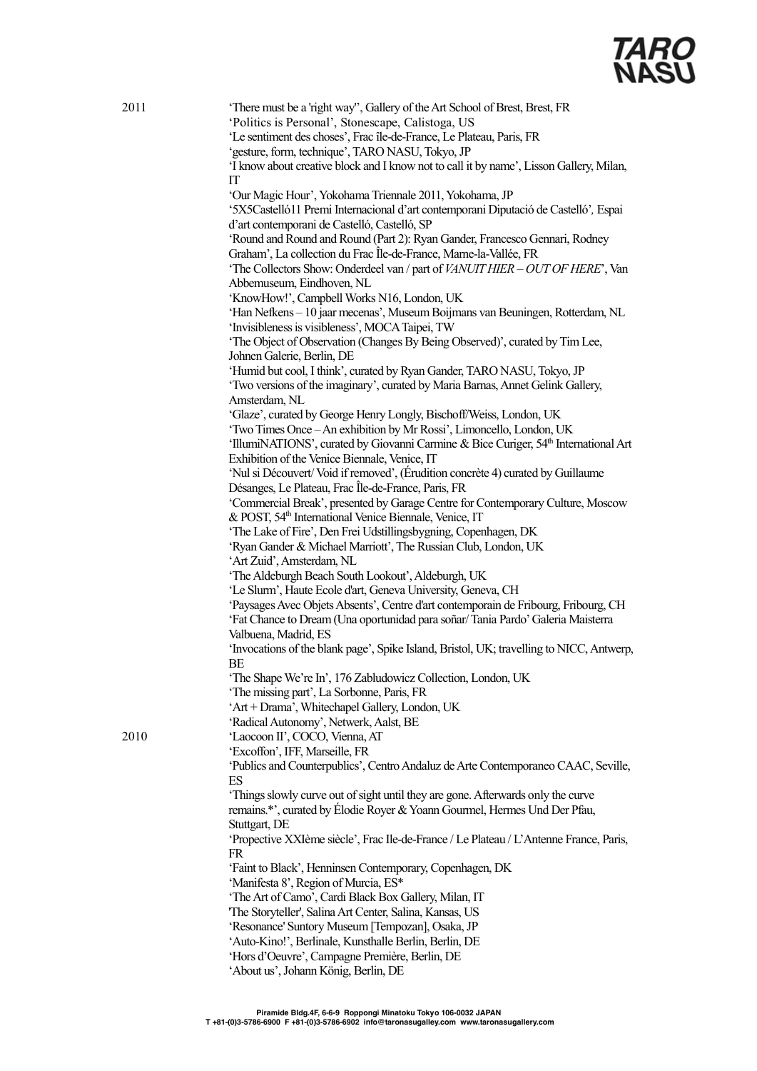

| 2011 | 'There must be a 'right way'', Gallery of the Art School of Brest, Brest, FR<br>'Politics is Personal', Stonescape, Calistoga, US<br>'Le sentiment des choses', Frac île-de-France, Le Plateau, Paris, FR |
|------|-----------------------------------------------------------------------------------------------------------------------------------------------------------------------------------------------------------|
|      | 'gesture, form, technique', TARO NASU, Tokyo, JP                                                                                                                                                          |
|      | 'I know about creative block and I know not to call it by name', Lisson Gallery, Milan,<br>IT                                                                                                             |
|      | 'Our Magic Hour', Yokohama Triennale 2011, Yokohama, JP                                                                                                                                                   |
|      | '5X5Castelló11 Premi Internacional d'art contemporani Diputació de Castelló', Espai                                                                                                                       |
|      | d'art contemporani de Castelló, Castelló, SP                                                                                                                                                              |
|      | 'Round and Round and Round (Part 2): Ryan Gander, Francesco Gennari, Rodney                                                                                                                               |
|      | Graham', La collection du Frac Île-de-France, Marne-la-Vallée, FR                                                                                                                                         |
|      | 'The Collectors Show: Onderdeel van / part of VANUIT HIER - OUT OF HERE', Van                                                                                                                             |
|      | Abbemuseum, Eindhoven, NL                                                                                                                                                                                 |
|      | 'KnowHow!', Campbell Works N16, London, UK                                                                                                                                                                |
|      | 'Han Nefkens - 10 jaar mecenas', Museum Boijmans van Beuningen, Rotterdam, NL                                                                                                                             |
|      | 'Invisibleness is visibleness', MOCA Taipei, TW                                                                                                                                                           |
|      | 'The Object of Observation (Changes By Being Observed)', curated by Tim Lee,                                                                                                                              |
|      | Johnen Galerie, Berlin, DE                                                                                                                                                                                |
|      | 'Humid but cool, I think', curated by Ryan Gander, TARO NASU, Tokyo, JP                                                                                                                                   |
|      | 'Two versions of the imaginary', curated by Maria Barnas, Annet Gelink Gallery,                                                                                                                           |
|      | Amsterdam, NL                                                                                                                                                                                             |
|      | 'Glaze', curated by George Henry Longly, Bischoff/Weiss, London, UK                                                                                                                                       |
|      | 'Two Times Once - An exhibition by Mr Rossi', Limoncello, London, UK                                                                                                                                      |
|      | 'IllumiNATIONS', curated by Giovanni Carmine & Bice Curiger, 54 <sup>th</sup> International Art                                                                                                           |
|      | Exhibition of the Venice Biennale, Venice, IT                                                                                                                                                             |
|      | 'Nul si Découvert/Void if removed', (Érudition concrète 4) curated by Guillaume                                                                                                                           |
|      | Désanges, Le Plateau, Frac Île-de-France, Paris, FR                                                                                                                                                       |
|      | 'Commercial Break', presented by Garage Centre for Contemporary Culture, Moscow                                                                                                                           |
|      | & POST, 54 <sup>th</sup> International Venice Biennale, Venice, IT                                                                                                                                        |
|      | 'The Lake of Fire', Den Frei Udstillingsbygning, Copenhagen, DK                                                                                                                                           |
|      | 'Ryan Gander & Michael Marriott', The Russian Club, London, UK                                                                                                                                            |
|      | 'Art Zuid', Amsterdam, NL                                                                                                                                                                                 |
|      | 'The Aldeburgh Beach South Lookout', Aldeburgh, UK                                                                                                                                                        |
|      | 'Le Slurm', Haute Ecole d'art, Geneva University, Geneva, CH                                                                                                                                              |
|      | 'Paysages Avec Objets Absents', Centre d'art contemporain de Fribourg, Fribourg, CH                                                                                                                       |
|      | 'Fat Chance to Dream (Una oportunidad para soñar/Tania Pardo' Galeria Maisterra                                                                                                                           |
|      | Valbuena, Madrid, ES                                                                                                                                                                                      |
|      | 'Invocations of the blank page', Spike Island, Bristol, UK; travelling to NICC, Antwerp,                                                                                                                  |
|      | BE                                                                                                                                                                                                        |
|      | 'The Shape We're In', 176 Zabludowicz Collection, London, UK                                                                                                                                              |
|      | 'The missing part', La Sorbonne, Paris, FR                                                                                                                                                                |
|      | 'Art + Drama', Whitechapel Gallery, London, UK                                                                                                                                                            |
|      | 'Radical Autonomy', Netwerk, Aalst, BE                                                                                                                                                                    |
| 2010 | 'Laocoon II', COCO, Vienna, AT                                                                                                                                                                            |
|      | 'Excoffon', IFF, Marseille, FR                                                                                                                                                                            |
|      | 'Publics and Counterpublics', Centro Andaluz de Arte Contemporaneo CAAC, Seville,                                                                                                                         |
|      | ES                                                                                                                                                                                                        |
|      | 'Things slowly curve out of sight until they are gone. Afterwards only the curve                                                                                                                          |
|      | remains.*', curated by Élodie Royer & Yoann Gourmel, Hermes Und Der Pfau,                                                                                                                                 |
|      | Stuttgart, DE                                                                                                                                                                                             |
|      | 'Propective XXIème siècle', Frac Ile-de-France / Le Plateau / L'Antenne France, Paris,                                                                                                                    |
|      | FR                                                                                                                                                                                                        |
|      | 'Faint to Black', Henninsen Contemporary, Copenhagen, DK<br>'Manifesta 8', Region of Murcia, ES*                                                                                                          |
|      | 'The Art of Camo', Cardi Black Box Gallery, Milan, IT                                                                                                                                                     |
|      | 'The Storyteller', Salina Art Center, Salina, Kansas, US                                                                                                                                                  |
|      | 'Resonance' Suntory Museum [Tempozan], Osaka, JP                                                                                                                                                          |
|      | 'Auto-Kino!', Berlinale, Kunsthalle Berlin, Berlin, DE                                                                                                                                                    |
|      | 'Hors d'Oeuvre', Campagne Première, Berlin, DE                                                                                                                                                            |
|      | 'About us', Johann König, Berlin, DE                                                                                                                                                                      |
|      |                                                                                                                                                                                                           |

 $2010$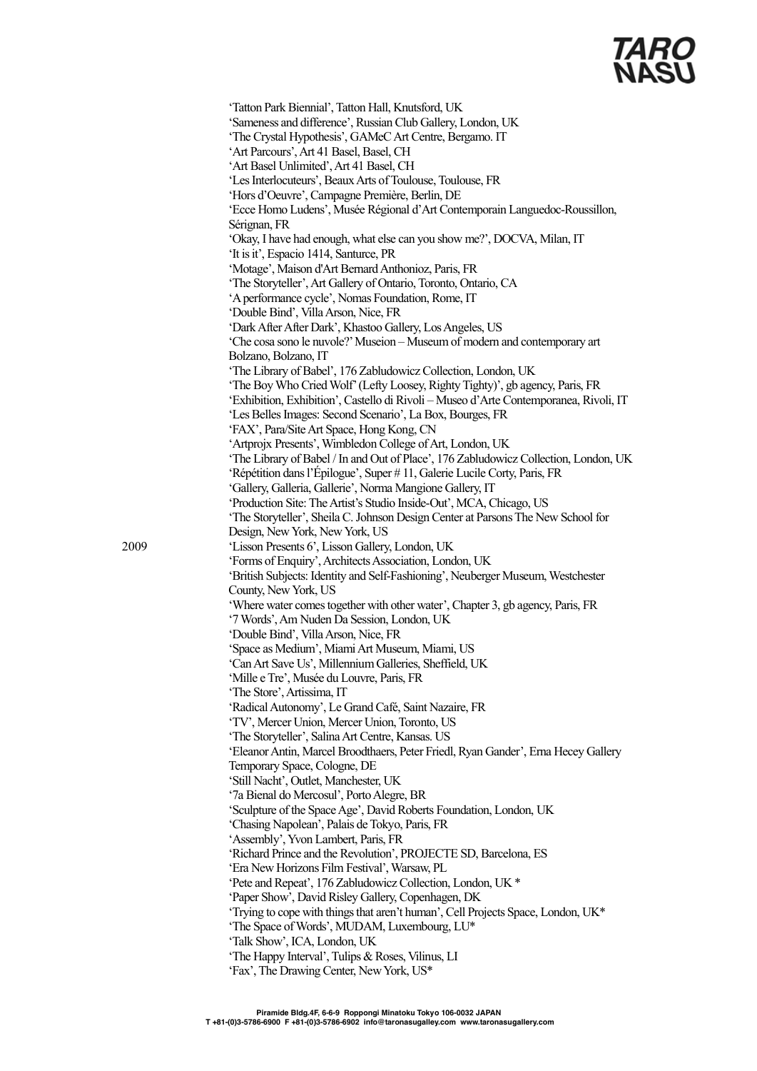|      | 'Tatton Park Biennial', Tatton Hall, Knutsford, UK                                                                                        |
|------|-------------------------------------------------------------------------------------------------------------------------------------------|
|      | 'Sameness and difference', Russian Club Gallery, London, UK                                                                               |
|      | 'The Crystal Hypothesis', GAMeC Art Centre, Bergamo. IT                                                                                   |
|      | 'Art Parcours', Art 41 Basel, Basel, CH                                                                                                   |
|      | 'Art Basel Unlimited', Art 41 Basel, CH                                                                                                   |
|      | 'Les Interlocuteurs', Beaux Arts of Toulouse, Toulouse, FR                                                                                |
|      | 'Hors d'Oeuvre', Campagne Première, Berlin, DE                                                                                            |
|      | 'Ecce Homo Ludens', Musée Régional d'Art Contemporain Languedoc-Roussillon,                                                               |
|      | Sérignan, FR                                                                                                                              |
|      | 'Okay, I have had enough, what else can you show me?', DOCVA, Milan, IT                                                                   |
|      | 'It is it', Espacio 1414, Santurce, PR                                                                                                    |
|      | 'Motage', Maison d'Art Bernard Anthonioz, Paris, FR                                                                                       |
|      | 'The Storyteller', Art Gallery of Ontario, Toronto, Ontario, CA                                                                           |
|      | 'A performance cycle', Nomas Foundation, Rome, IT                                                                                         |
|      | 'Double Bind', Villa Arson, Nice, FR                                                                                                      |
|      | 'Dark After After Dark', Khastoo Gallery, Los Angeles, US                                                                                 |
|      | 'Che cosa sono le nuvole?' Museion - Museum of modern and contemporary art                                                                |
|      | Bolzano, Bolzano, IT                                                                                                                      |
|      | 'The Library of Babel', 176 Zabludowicz Collection, London, UK                                                                            |
|      | 'The Boy Who Cried Wolf' (Lefty Loosey, Righty Tighty)', gb agency, Paris, FR                                                             |
|      | 'Exhibition, Exhibition', Castello di Rivoli - Museo d'Arte Contemporanea, Rivoli, IT                                                     |
|      | 'Les Belles Images: Second Scenario', La Box, Bourges, FR                                                                                 |
|      | 'FAX', Para/Site Art Space, Hong Kong, CN                                                                                                 |
|      | 'Artprojx Presents', Wimbledon College of Art, London, UK                                                                                 |
|      | 'The Library of Babel / In and Out of Place', 176 Zabludowicz Collection, London, UK                                                      |
|      | 'Répétition dans l'Épilogue', Super #11, Galerie Lucile Corty, Paris, FR                                                                  |
|      | 'Gallery, Galleria, Gallerie', Norma Mangione Gallery, IT                                                                                 |
|      | 'Production Site: The Artist's Studio Inside-Out', MCA, Chicago, US                                                                       |
|      | 'The Storyteller', Sheila C. Johnson Design Center at Parsons The New School for                                                          |
|      | Design, New York, New York, US                                                                                                            |
| 2009 | 'Lisson Presents 6', Lisson Gallery, London, UK                                                                                           |
|      | 'Forms of Enquiry', Architects Association, London, UK<br>'British Subjects: Identity and Self-Fashioning', Neuberger Museum, Westchester |
|      | County, New York, US                                                                                                                      |
|      | 'Where water comes together with other water', Chapter 3, gb agency, Paris, FR                                                            |
|      | '7 Words', Am Nuden Da Session, London, UK                                                                                                |
|      | 'Double Bind', Villa Arson, Nice, FR                                                                                                      |
|      | 'Space as Medium', Miami Art Museum, Miami, US                                                                                            |
|      | 'Can Art Save Us', Millennium Galleries, Sheffield, UK                                                                                    |
|      | 'Mille e Tre', Musée du Louvre, Paris, FR                                                                                                 |
|      | 'The Store', Artissima, IT                                                                                                                |
|      | 'Radical Autonomy', Le Grand Café, Saint Nazaire, FR                                                                                      |
|      | 'TV', Mercer Union, Mercer Union, Toronto, US                                                                                             |
|      | 'The Storyteller', Salina Art Centre, Kansas. US                                                                                          |
|      | 'Eleanor Antin, Marcel Broodthaers, Peter Friedl, Ryan Gander', Erna Hecey Gallery                                                        |
|      | Temporary Space, Cologne, DE                                                                                                              |
|      | 'Still Nacht', Outlet, Manchester, UK                                                                                                     |
|      | '7a Bienal do Mercosul', Porto Alegre, BR                                                                                                 |
|      | 'Sculpture of the Space Age', David Roberts Foundation, London, UK                                                                        |
|      | 'Chasing Napolean', Palais de Tokyo, Paris, FR                                                                                            |
|      | 'Assembly', Yvon Lambert, Paris, FR                                                                                                       |
|      | 'Richard Prince and the Revolution', PROJECTE SD, Barcelona, ES                                                                           |
|      | 'Era New Horizons Film Festival', Warsaw, PL                                                                                              |
|      | 'Pete and Repeat', 176 Zabludowicz Collection, London, UK *                                                                               |
|      | 'Paper Show', David Risley Gallery, Copenhagen, DK                                                                                        |
|      | 'Trying to cope with things that aren't human', Cell Projects Space, London, UK*                                                          |
|      | 'The Space of Words', MUDAM, Luxembourg, LU*                                                                                              |
|      | 'Talk Show', ICA, London, UK                                                                                                              |
|      | 'The Happy Interval', Tulips & Roses, Vilinus, LI                                                                                         |
|      | 'Fax', The Drawing Center, New York, US*                                                                                                  |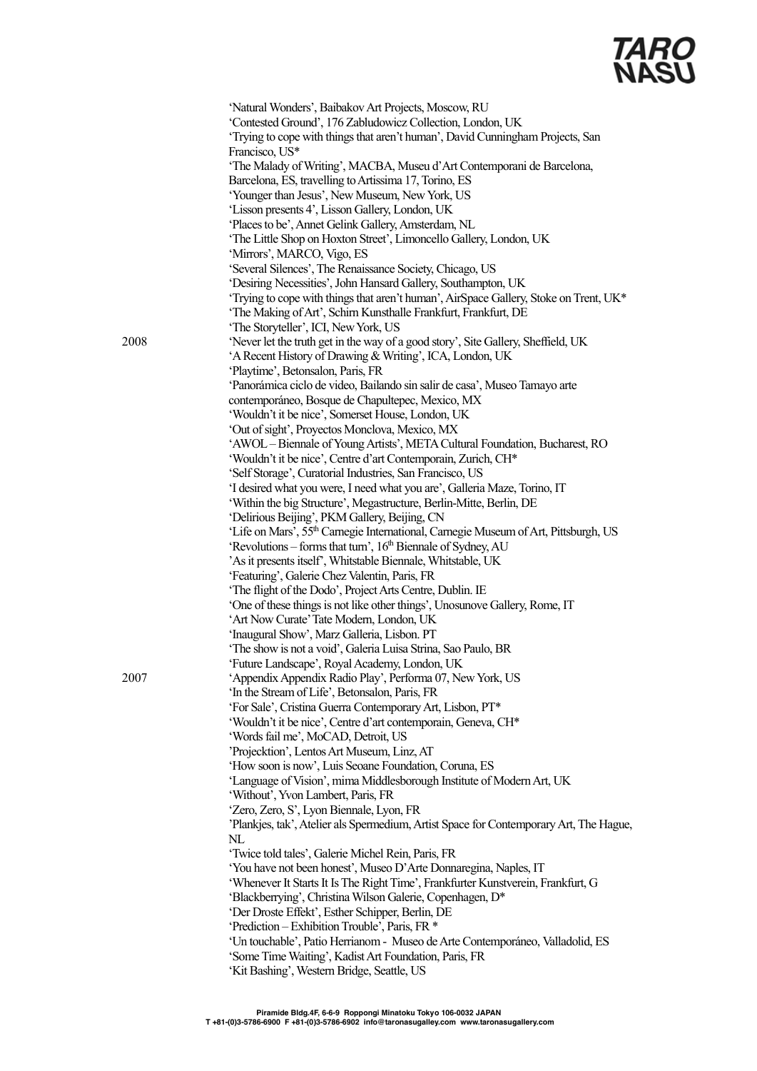

|      | 'Natural Wonders', Baibakov Art Projects, Moscow, RU                                            |
|------|-------------------------------------------------------------------------------------------------|
|      | 'Contested Ground', 176 Zabludowicz Collection, London, UK                                      |
|      | 'Trying to cope with things that aren't human', David Cunningham Projects, San                  |
|      | Francisco, US*                                                                                  |
|      | 'The Malady of Writing', MACBA, Museu d'Art Contemporani de Barcelona,                          |
|      | Barcelona, ES, travelling to Artissima 17, Torino, ES                                           |
|      | 'Younger than Jesus', New Museum, New York, US                                                  |
|      | 'Lisson presents 4', Lisson Gallery, London, UK                                                 |
|      | 'Places to be', Annet Gelink Gallery, Amsterdam, NL                                             |
|      | 'The Little Shop on Hoxton Street', Limoncello Gallery, London, UK                              |
|      | 'Mirrors', MARCO, Vigo, ES                                                                      |
|      | 'Several Silences', The Renaissance Society, Chicago, US                                        |
|      | 'Desiring Necessities', John Hansard Gallery, Southampton, UK                                   |
|      | 'Trying to cope with things that aren't human', AirSpace Gallery, Stoke on Trent, UK*           |
|      | 'The Making of Art', Schirn Kunsthalle Frankfurt, Frankfurt, DE                                 |
|      | 'The Storyteller', ICI, New York, US                                                            |
| 2008 | 'Never let the truth get in the way of a good story', Site Gallery, Sheffield, UK               |
|      | 'A Recent History of Drawing & Writing', ICA, London, UK                                        |
|      | 'Playtime', Betonsalon, Paris, FR                                                               |
|      | 'Panorámica ciclo de video, Bailando sin salir de casa', Museo Tamayo arte                      |
|      | contemporáneo, Bosque de Chapultepec, Mexico, MX                                                |
|      | 'Wouldn't it be nice', Somerset House, London, UK                                               |
|      | 'Out of sight', Proyectos Monclova, Mexico, MX                                                  |
|      | 'AWOL - Biennale of Young Artists', META Cultural Foundation, Bucharest, RO                     |
|      | 'Wouldn't it be nice', Centre d'art Contemporain, Zurich, CH*                                   |
|      | 'Self Storage', Curatorial Industries, San Francisco, US                                        |
|      | 'I desired what you were, I need what you are', Galleria Maze, Torino, IT                       |
|      | 'Within the big Structure', Megastructure, Berlin-Mitte, Berlin, DE                             |
|      | 'Delirious Beijing', PKM Gallery, Beijing, CN                                                   |
|      | 'Life on Mars', 55 <sup>th</sup> Carnegie International, Carnegie Museum of Art, Pittsburgh, US |
|      | 'Revolutions – forms that turn', 16 <sup>th</sup> Biennale of Sydney, AU                        |
|      | 'As it presents itself', Whitstable Biennale, Whitstable, UK                                    |
|      | 'Featuring', Galerie Chez Valentin, Paris, FR                                                   |
|      | 'The flight of the Dodo', Project Arts Centre, Dublin. IE                                       |
|      | 'One of these things is not like other things', Unosunove Gallery, Rome, IT                     |
|      | 'Art Now Curate' Tate Modern, London, UK                                                        |
|      | 'Inaugural Show', Marz Galleria, Lisbon. PT                                                     |
|      | 'The show is not a void', Galeria Luisa Strina, Sao Paulo, BR                                   |
|      | Future Landscape', Royal Academy, London, UK                                                    |
| 2007 | 'Appendix Appendix Radio Play', Performa 07, New York, US                                       |
|      | 'In the Stream of Life', Betonsalon, Paris, FR                                                  |
|      | 'For Sale', Cristina Guerra Contemporary Art, Lisbon, PT*                                       |
|      | 'Wouldn't it be nice', Centre d'art contemporain, Geneva, CH*                                   |
|      | 'Words fail me', MoCAD, Detroit, US                                                             |
|      | 'Projecktion', Lentos Art Museum, Linz, AT                                                      |
|      | 'How soon is now', Luis Seoane Foundation, Coruna, ES                                           |
|      | 'Language of Vision', mima Middlesborough Institute of Modern Art, UK                           |
|      | 'Without', Yvon Lambert, Paris, FR                                                              |
|      |                                                                                                 |
|      | 'Zero, Zero, S', Lyon Biennale, Lyon, FR                                                        |
|      | 'Plankjes, tak', Atelier als Spermedium, Artist Space for Contemporary Art, The Hague,          |
|      | $\mathbf{NL}$                                                                                   |
|      | 'Twice told tales', Galerie Michel Rein, Paris, FR                                              |
|      | 'You have not been honest', Museo D'Arte Donnaregina, Naples, IT                                |
|      | 'Whenever It Starts It Is The Right Time', Frankfurter Kunstverein, Frankfurt, G                |
|      | 'Blackberrying', Christina Wilson Galerie, Copenhagen, D*                                       |
|      | 'Der Droste Effekt', Esther Schipper, Berlin, DE                                                |
|      | 'Prediction – Exhibition Trouble', Paris, FR *                                                  |
|      | 'Un touchable', Patio Herrianom - Museo de Arte Contemporáneo, Valladolid, ES                   |
|      | 'Some Time Waiting', Kadist Art Foundation, Paris, FR                                           |
|      | 'Kit Bashing', Western Bridge, Seattle, US                                                      |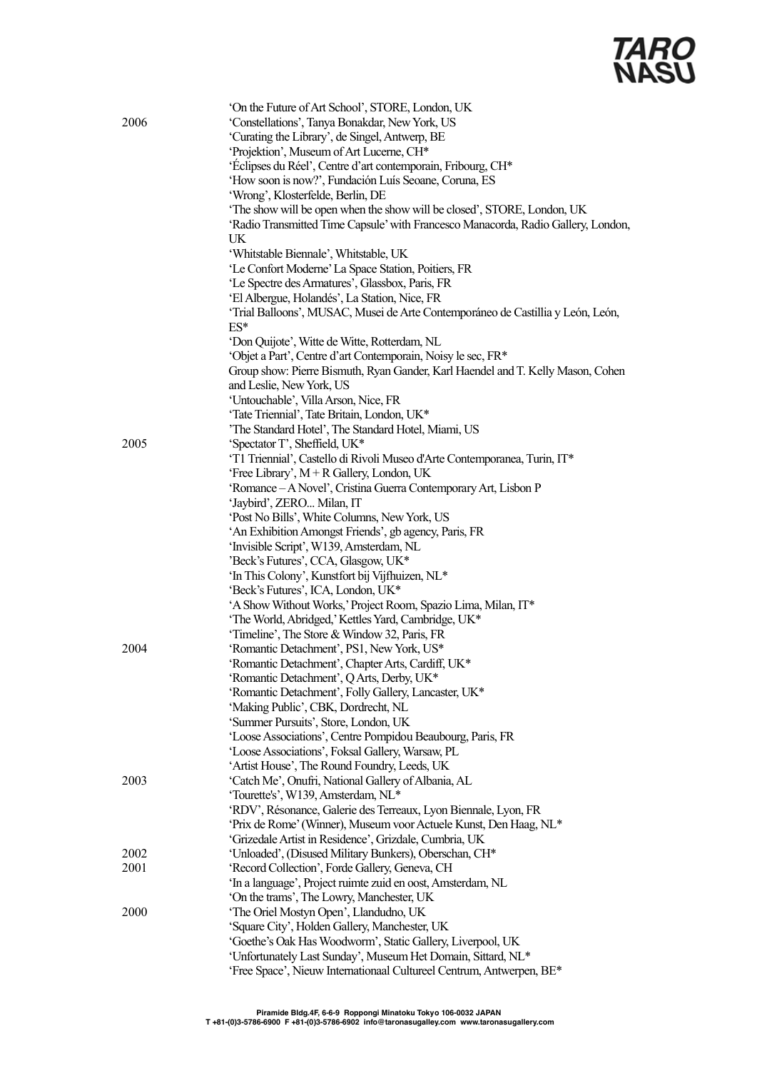| 2006 | 'On the Future of Art School', STORE, London, UK<br>'Constellations', Tanya Bonakdar, New York, US<br>'Curating the Library', de Singel, Antwerp, BE<br>'Projektion', Museum of Art Lucerne, CH*<br>'Éclipses du Réel', Centre d'art contemporain, Fribourg, CH*<br>'How soon is now?', Fundación Luís Seoane, Coruna, ES<br>'Wrong', Klosterfelde, Berlin, DE<br>'The show will be open when the show will be closed', STORE, London, UK<br>'Radio Transmitted Time Capsule' with Francesco Manacorda, Radio Gallery, London, |
|------|--------------------------------------------------------------------------------------------------------------------------------------------------------------------------------------------------------------------------------------------------------------------------------------------------------------------------------------------------------------------------------------------------------------------------------------------------------------------------------------------------------------------------------|
|      | UK                                                                                                                                                                                                                                                                                                                                                                                                                                                                                                                             |
|      | 'Whitstable Biennale', Whitstable, UK                                                                                                                                                                                                                                                                                                                                                                                                                                                                                          |
|      | 'Le Confort Moderne' La Space Station, Poitiers, FR<br>'Le Spectre des Armatures', Glassbox, Paris, FR                                                                                                                                                                                                                                                                                                                                                                                                                         |
|      | 'El Albergue, Holandés', La Station, Nice, FR                                                                                                                                                                                                                                                                                                                                                                                                                                                                                  |
|      | 'Trial Balloons', MUSAC, Musei de Arte Contemporáneo de Castillia y León, León,<br>$ES*$                                                                                                                                                                                                                                                                                                                                                                                                                                       |
|      | 'Don Quijote', Witte de Witte, Rotterdam, NL                                                                                                                                                                                                                                                                                                                                                                                                                                                                                   |
|      | 'Objet a Part', Centre d'art Contemporain, Noisy le sec, FR*                                                                                                                                                                                                                                                                                                                                                                                                                                                                   |
|      | Group show: Pierre Bismuth, Ryan Gander, Karl Haendel and T. Kelly Mason, Cohen                                                                                                                                                                                                                                                                                                                                                                                                                                                |
|      | and Leslie, New York, US<br>'Untouchable', Villa Arson, Nice, FR                                                                                                                                                                                                                                                                                                                                                                                                                                                               |
|      | 'Tate Triennial', Tate Britain, London, UK*                                                                                                                                                                                                                                                                                                                                                                                                                                                                                    |
|      | 'The Standard Hotel', The Standard Hotel, Miami, US                                                                                                                                                                                                                                                                                                                                                                                                                                                                            |
| 2005 | 'Spectator T', Sheffield, UK*                                                                                                                                                                                                                                                                                                                                                                                                                                                                                                  |
|      | 'T1 Triennial', Castello di Rivoli Museo d'Arte Contemporanea, Turin, IT*                                                                                                                                                                                                                                                                                                                                                                                                                                                      |
|      | 'Free Library', $M + R$ Gallery, London, UK<br>'Romance - A Novel', Cristina Guerra Contemporary Art, Lisbon P                                                                                                                                                                                                                                                                                                                                                                                                                 |
|      | 'Jaybird', ZERO Milan, IT                                                                                                                                                                                                                                                                                                                                                                                                                                                                                                      |
|      | 'Post No Bills', White Columns, New York, US                                                                                                                                                                                                                                                                                                                                                                                                                                                                                   |
|      | 'An Exhibition Amongst Friends', gb agency, Paris, FR                                                                                                                                                                                                                                                                                                                                                                                                                                                                          |
|      | 'Invisible Script', W139, Amsterdam, NL                                                                                                                                                                                                                                                                                                                                                                                                                                                                                        |
|      | 'Beck's Futures', CCA, Glasgow, UK*<br>'In This Colony', Kunstfort bij Vijfhuizen, NL*                                                                                                                                                                                                                                                                                                                                                                                                                                         |
|      | 'Beck's Futures', ICA, London, UK*                                                                                                                                                                                                                                                                                                                                                                                                                                                                                             |
|      | 'A Show Without Works,' Project Room, Spazio Lima, Milan, IT*                                                                                                                                                                                                                                                                                                                                                                                                                                                                  |
|      | 'The World, Abridged,' Kettles Yard, Cambridge, UK*                                                                                                                                                                                                                                                                                                                                                                                                                                                                            |
|      | 'Timeline', The Store & Window 32, Paris, FR                                                                                                                                                                                                                                                                                                                                                                                                                                                                                   |
| 2004 | 'Romantic Detachment', PS1, New York, US*                                                                                                                                                                                                                                                                                                                                                                                                                                                                                      |
|      | 'Romantic Detachment', Chapter Arts, Cardiff, UK*<br>'Romantic Detachment', Q Arts, Derby, UK*                                                                                                                                                                                                                                                                                                                                                                                                                                 |
|      | 'Romantic Detachment', Folly Gallery, Lancaster, UK*                                                                                                                                                                                                                                                                                                                                                                                                                                                                           |
|      | 'Making Public', CBK, Dordrecht, NL                                                                                                                                                                                                                                                                                                                                                                                                                                                                                            |
|      | 'Summer Pursuits', Store, London, UK                                                                                                                                                                                                                                                                                                                                                                                                                                                                                           |
|      | 'Loose Associations', Centre Pompidou Beaubourg, Paris, FR                                                                                                                                                                                                                                                                                                                                                                                                                                                                     |
|      | 'Loose Associations', Foksal Gallery, Warsaw, PL<br>'Artist House', The Round Foundry, Leeds, UK                                                                                                                                                                                                                                                                                                                                                                                                                               |
| 2003 | 'Catch Me', Onufri, National Gallery of Albania, AL                                                                                                                                                                                                                                                                                                                                                                                                                                                                            |
|      | 'Tourette's', W139, Amsterdam, NL*                                                                                                                                                                                                                                                                                                                                                                                                                                                                                             |
|      | 'RDV', Résonance, Galerie des Terreaux, Lyon Biennale, Lyon, FR                                                                                                                                                                                                                                                                                                                                                                                                                                                                |
|      | 'Prix de Rome' (Winner), Museum voor Actuele Kunst, Den Haag, NL*                                                                                                                                                                                                                                                                                                                                                                                                                                                              |
| 2002 | 'Grizedale Artist in Residence', Grizdale, Cumbria, UK                                                                                                                                                                                                                                                                                                                                                                                                                                                                         |
| 2001 | 'Unloaded', (Disused Military Bunkers), Oberschan, CH*<br>'Record Collection', Forde Gallery, Geneva, CH                                                                                                                                                                                                                                                                                                                                                                                                                       |
|      | 'In a language', Project ruimte zuid en oost, Amsterdam, NL                                                                                                                                                                                                                                                                                                                                                                                                                                                                    |
|      | 'On the trams', The Lowry, Manchester, UK                                                                                                                                                                                                                                                                                                                                                                                                                                                                                      |
| 2000 | 'The Oriel Mostyn Open', Llandudno, UK                                                                                                                                                                                                                                                                                                                                                                                                                                                                                         |
|      | 'Square City', Holden Gallery, Manchester, UK                                                                                                                                                                                                                                                                                                                                                                                                                                                                                  |
|      | 'Goethe's Oak Has Woodworm', Static Gallery, Liverpool, UK<br>'Unfortunately Last Sunday', Museum Het Domain, Sittard, NL*                                                                                                                                                                                                                                                                                                                                                                                                     |
|      | 'Free Space', Nieuw Internationaal Cultureel Centrum, Antwerpen, BE*                                                                                                                                                                                                                                                                                                                                                                                                                                                           |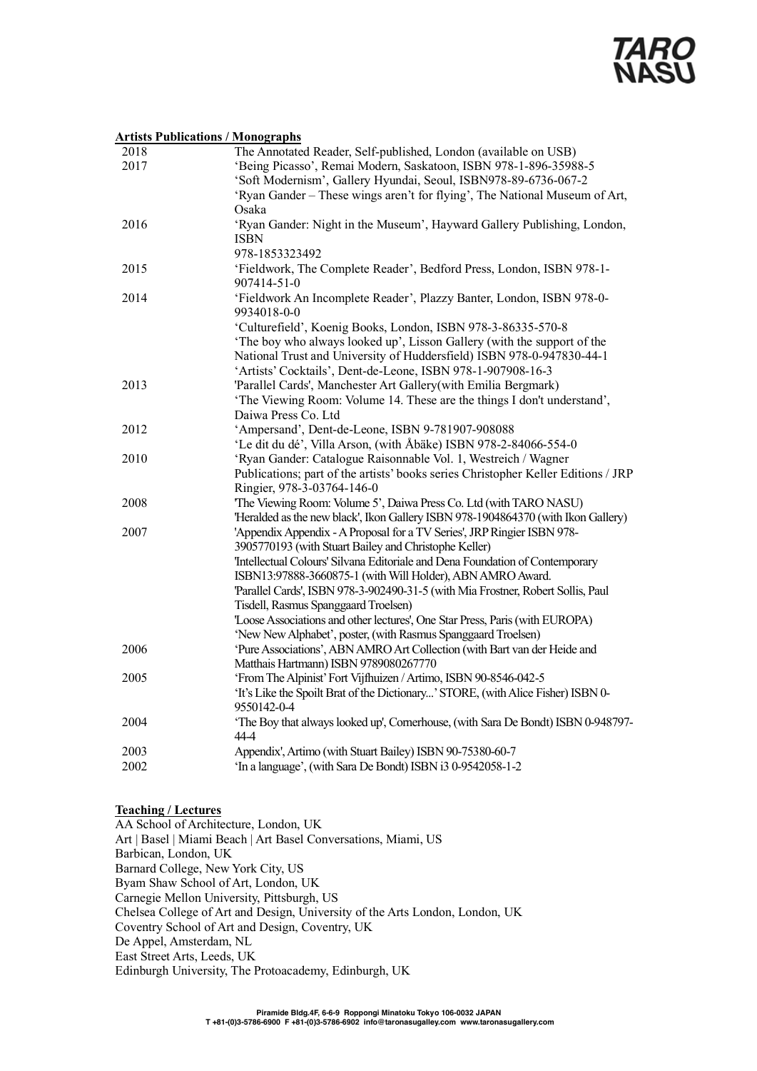#### **Artists Publications / Monographs**

| 2018 | The Annotated Reader, Self-published, London (available on USB)                                                                                      |
|------|------------------------------------------------------------------------------------------------------------------------------------------------------|
| 2017 | 'Being Picasso', Remai Modern, Saskatoon, ISBN 978-1-896-35988-5                                                                                     |
|      | 'Soft Modernism', Gallery Hyundai, Seoul, ISBN978-89-6736-067-2                                                                                      |
|      | 'Ryan Gander - These wings aren't for flying', The National Museum of Art,                                                                           |
|      | Osaka                                                                                                                                                |
| 2016 | 'Ryan Gander: Night in the Museum', Hayward Gallery Publishing, London,                                                                              |
|      | <b>ISBN</b>                                                                                                                                          |
|      | 978-1853323492                                                                                                                                       |
| 2015 | 'Fieldwork, The Complete Reader', Bedford Press, London, ISBN 978-1-                                                                                 |
|      | 907414-51-0                                                                                                                                          |
| 2014 | 'Fieldwork An Incomplete Reader', Plazzy Banter, London, ISBN 978-0-                                                                                 |
|      | 9934018-0-0                                                                                                                                          |
|      | 'Culturefield', Koenig Books, London, ISBN 978-3-86335-570-8                                                                                         |
|      | 'The boy who always looked up', Lisson Gallery (with the support of the                                                                              |
|      | National Trust and University of Huddersfield) ISBN 978-0-947830-44-1                                                                                |
|      | 'Artists' Cocktails', Dent-de-Leone, ISBN 978-1-907908-16-3                                                                                          |
| 2013 | 'Parallel Cards', Manchester Art Gallery(with Emilia Bergmark)                                                                                       |
|      | 'The Viewing Room: Volume 14. These are the things I don't understand',                                                                              |
|      | Daiwa Press Co. Ltd                                                                                                                                  |
| 2012 | 'Ampersand', Dent-de-Leone, ISBN 9-781907-908088                                                                                                     |
|      | 'Le dit du dé', Villa Arson, (with Åbäke) ISBN 978-2-84066-554-0                                                                                     |
| 2010 | 'Ryan Gander: Catalogue Raisonnable Vol. 1, Westreich / Wagner                                                                                       |
|      | Publications; part of the artists' books series Christopher Keller Editions / JRP                                                                    |
|      | Ringier, 978-3-03764-146-0                                                                                                                           |
| 2008 | 'The Viewing Room: Volume 5', Daiwa Press Co. Ltd (with TARO NASU)                                                                                   |
|      | 'Heralded as the new black', Ikon Gallery ISBN 978-1904864370 (with Ikon Gallery)                                                                    |
| 2007 | 'Appendix Appendix - A Proposal for a TV Series', JRP Ringier ISBN 978-                                                                              |
|      | 3905770193 (with Stuart Bailey and Christophe Keller)                                                                                                |
|      | 'Intellectual Colours' Silvana Editoriale and Dena Foundation of Contemporary                                                                        |
|      | ISBN13:97888-3660875-1 (with Will Holder), ABN AMRO Award.                                                                                           |
|      | 'Parallel Cards', ISBN 978-3-902490-31-5 (with Mia Frostner, Robert Sollis, Paul                                                                     |
|      | Tisdell, Rasmus Spanggaard Troelsen)                                                                                                                 |
|      | 'Loose Associations and other lectures', One Star Press, Paris (with EUROPA)                                                                         |
|      | 'New New Alphabet', poster, (with Rasmus Spanggaard Troelsen)                                                                                        |
| 2006 | 'Pure Associations', ABN AMRO Art Collection (with Bart van der Heide and                                                                            |
| 2005 | Matthais Hartmann) ISBN 9789080267770                                                                                                                |
|      | 'From The Alpinist' Fort Vijfhuizen / Artimo, ISBN 90-8546-042-5<br>'It's Like the Spoilt Brat of the Dictionary' STORE, (with Alice Fisher) ISBN 0- |
|      | 9550142-0-4                                                                                                                                          |
| 2004 | 'The Boy that always looked up', Cornerhouse, (with Sara De Bondt) ISBN 0-948797-                                                                    |
|      | 44-4                                                                                                                                                 |
| 2003 | Appendix', Artimo (with Stuart Bailey) ISBN 90-75380-60-7                                                                                            |
| 2002 | 'In a language', (with Sara De Bondt) ISBN i3 0-9542058-1-2                                                                                          |
|      |                                                                                                                                                      |

#### **Teaching / Lectures**

AA School of Architecture, London, UK Art | Basel | Miami Beach | Art Basel Conversations, Miami, US Barbican, London, UK Barnard College, New York City, US Byam Shaw School of Art, London, UK Carnegie Mellon University, Pittsburgh, US Chelsea College of Art and Design, University of the Arts London, London, UK Coventry School of Art and Design, Coventry, UK De Appel, Amsterdam, NL East Street Arts, Leeds, UK Edinburgh University, The Protoacademy, Edinburgh, UK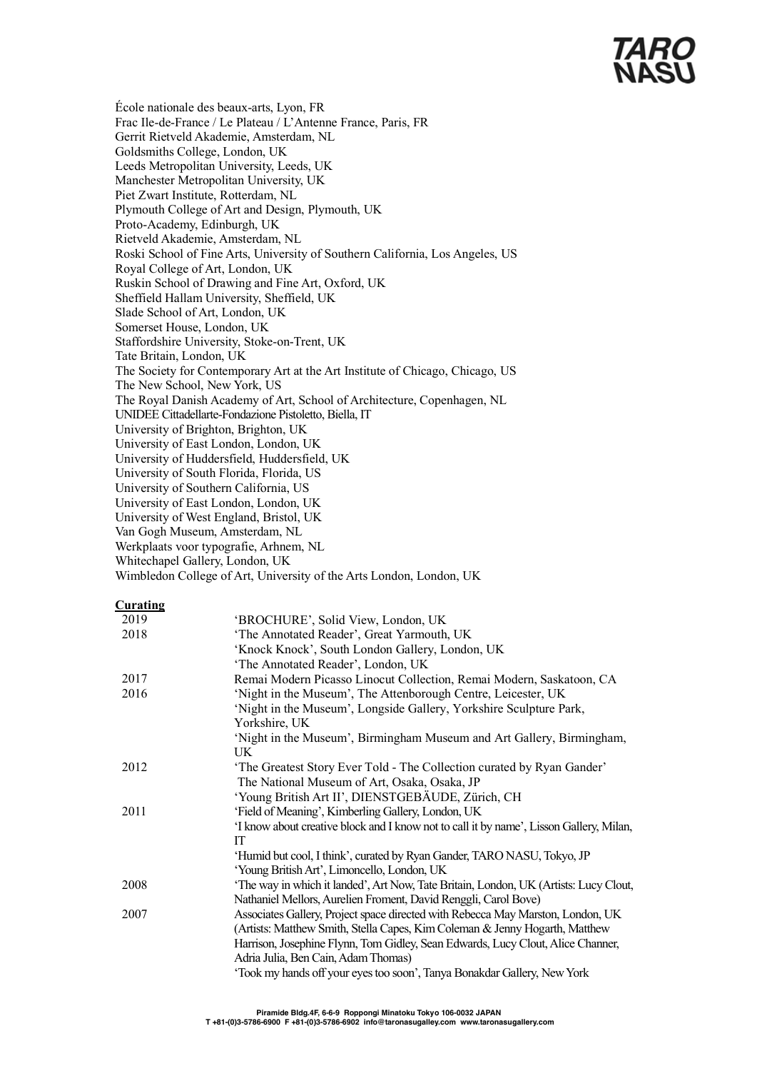# *TARC<br>NASL*

École nationale des beaux-arts, Lyon, FR Frac Ile-de-France / Le Plateau / L'Antenne France, Paris, FR Gerrit Rietveld Akademie, Amsterdam, NL Goldsmiths College, London, UK Leeds Metropolitan University, Leeds, UK Manchester Metropolitan University, UK Piet Zwart Institute, Rotterdam, NL Plymouth College of Art and Design, Plymouth, UK Proto-Academy, Edinburgh, UK Rietveld Akademie, Amsterdam, NL Roski School of Fine Arts, University of Southern California, Los Angeles, US Royal College of Art, London, UK Ruskin School of Drawing and Fine Art, Oxford, UK Sheffield Hallam University, Sheffield, UK Slade School of Art, London, UK Somerset House, London, UK Staffordshire University, Stoke-on-Trent, UK Tate Britain, London, UK The Society for Contemporary Art at the Art Institute of Chicago, Chicago, US The New School, New York, US The Royal Danish Academy of Art, School of Architecture, Copenhagen, NL UNIDEE Cittadellarte-Fondazione Pistoletto, Biella, IT University of Brighton, Brighton, UK University of East London, London, UK University of Huddersfield, Huddersfield, UK University of South Florida, Florida, US University of Southern California, US University of East London, London, UK University of West England, Bristol, UK Van Gogh Museum, Amsterdam, NL Werkplaats voor typografie, Arhnem, NL Whitechapel Gallery, London, UK

Wimbledon College of Art, University of the Arts London, London, UK

**Curating**

| 2019 | 'BROCHURE', Solid View, London, UK                                                      |
|------|-----------------------------------------------------------------------------------------|
| 2018 | 'The Annotated Reader', Great Yarmouth, UK                                              |
|      | 'Knock Knock', South London Gallery, London, UK                                         |
|      | 'The Annotated Reader', London, UK                                                      |
| 2017 | Remai Modern Picasso Linocut Collection, Remai Modern, Saskatoon, CA                    |
| 2016 | 'Night in the Museum', The Attenborough Centre, Leicester, UK                           |
|      | 'Night in the Museum', Longside Gallery, Yorkshire Sculpture Park,                      |
|      | Yorkshire, UK                                                                           |
|      | 'Night in the Museum', Birmingham Museum and Art Gallery, Birmingham,                   |
|      | UK.                                                                                     |
| 2012 | 'The Greatest Story Ever Told - The Collection curated by Ryan Gander'                  |
|      | The National Museum of Art, Osaka, Osaka, JP                                            |
|      | 'Young British Art II', DIENSTGEBÄUDE, Zürich, CH                                       |
| 2011 | 'Field of Meaning', Kimberling Gallery, London, UK                                      |
|      | 'I know about creative block and I know not to call it by name', Lisson Gallery, Milan, |
|      | IT                                                                                      |
|      | 'Humid but cool, I think', curated by Ryan Gander, TARO NASU, Tokyo, JP                 |
|      | 'Young British Art', Limoncello, London, UK                                             |
| 2008 | 'The way in which it landed', Art Now, Tate Britain, London, UK (Artists: Lucy Clout,   |
|      | Nathaniel Mellors, Aurelien Froment, David Renggli, Carol Bove)                         |
| 2007 | Associates Gallery, Project space directed with Rebecca May Marston, London, UK         |
|      | (Artists: Matthew Smith, Stella Capes, Kim Coleman & Jenny Hogarth, Matthew             |
|      | Harrison, Josephine Flynn, Tom Gidley, Sean Edwards, Lucy Clout, Alice Channer,         |
|      | Adria Julia, Ben Cain, Adam Thomas)                                                     |
|      | 'Took my hands off your eyes too soon', Tanya Bonakdar Gallery, New York                |
|      |                                                                                         |